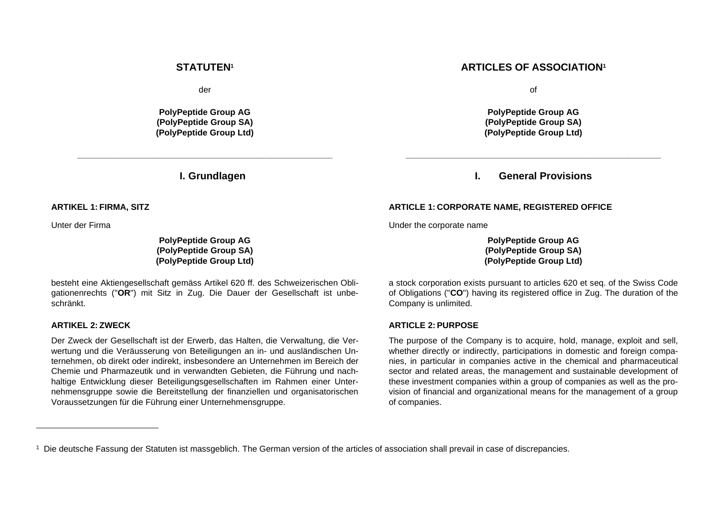#### **STATUTEN<sup>1</sup>**

der

**PolyPeptide Group AG (PolyPeptide Group SA) (PolyPeptide Group Ltd)**

**\_\_\_\_\_\_\_\_\_\_\_\_\_\_\_\_\_\_\_\_\_\_\_\_\_\_\_\_\_\_\_\_\_\_\_\_\_\_\_\_\_\_\_\_\_\_\_\_\_\_\_\_\_\_**

**I. Grundlagen**

**ARTIKEL 1: FIRMA, SITZ** 

Unter der Firma

**PolyPeptide Group AG (PolyPeptide Group SA) (PolyPeptide Group Ltd)**

besteht eine Aktiengesellschaft gemäss Artikel 620 ff. des Schweizerischen Obligationenrechts ("**OR**") mit Sitz in Zug. Die Dauer der Gesellschaft ist unbeschränkt.

#### **ARTIKEL 2: ZWECK**

Der Zweck der Gesellschaft ist der Erwerb, das Halten, die Verwaltung, die Verwertung und die Veräusserung von Beteiligungen an in- und ausländischen Unternehmen, ob direkt oder indirekt, insbesondere an Unternehmen im Bereich der Chemie und Pharmazeutik und in verwandten Gebieten, die Führung und nachhaltige Entwicklung dieser Beteiligungsgesellschaften im Rahmen einer Unternehmensgruppe sowie die Bereitstellung der finanziellen und organisatorischen Voraussetzungen für die Führung einer Unternehmensgruppe.

## **ARTICLES OF ASSOCIATION<sup>1</sup>**

of

**PolyPeptide Group AG (PolyPeptide Group SA) (PolyPeptide Group Ltd)**

# **I. General Provisions**

**\_\_\_\_\_\_\_\_\_\_\_\_\_\_\_\_\_\_\_\_\_\_\_\_\_\_\_\_\_\_\_\_\_\_\_\_\_\_\_\_\_\_\_\_\_\_\_\_\_\_\_\_\_\_**

#### **ARTICLE 1: CORPORATE NAME, REGISTERED OFFICE**

Under the corporate name

**PolyPeptide Group AG (PolyPeptide Group SA) (PolyPeptide Group Ltd)**

a stock corporation exists pursuant to articles 620 et seq. of the Swiss Code of Obligations ("**CO**") having its registered office in Zug. The duration of the Company is unlimited.

#### **ARTICLE 2: PURPOSE**

The purpose of the Company is to acquire, hold, manage, exploit and sell, whether directly or indirectly, participations in domestic and foreign companies, in particular in companies active in the chemical and pharmaceutical sector and related areas, the management and sustainable development of these investment companies within a group of companies as well as the provision of financial and organizational means for the management of a group of companies.

<sup>1</sup> Die deutsche Fassung der Statuten ist massgeblich. The German version of the articles of association shall prevail in case of discrepancies.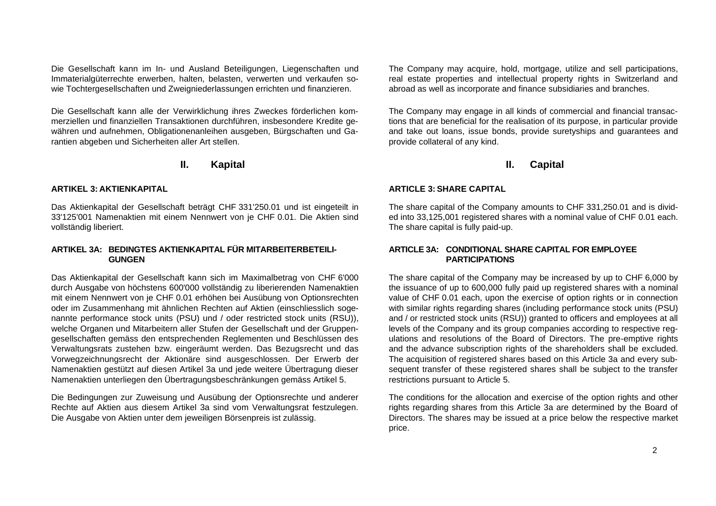Die Gesellschaft kann im In- und Ausland Beteiligungen, Liegenschaften und Immaterialgüterrechte erwerben, halten, belasten, verwerten und verkaufen sowie Tochtergesellschaften und Zweigniederlassungen errichten und finanzieren.

Die Gesellschaft kann alle der Verwirklichung ihres Zweckes förderlichen kommerziellen und finanziellen Transaktionen durchführen, insbesondere Kredite gewähren und aufnehmen, Obligationenanleihen ausgeben, Bürgschaften und Garantien abgeben und Sicherheiten aller Art stellen.

# **II. Kapital**

## **ARTIKEL 3: AKTIENKAPITAL**

Das Aktienkapital der Gesellschaft beträgt CHF 331'250.01 und ist eingeteilt in 33'125'001 Namenaktien mit einem Nennwert von je CHF 0.01. Die Aktien sind vollständig liberiert.

## **ARTIKEL 3A: BEDINGTES AKTIENKAPITAL FÜR MITARBEITERBETEILI-GUNGEN**

Das Aktienkapital der Gesellschaft kann sich im Maximalbetrag von CHF 6'000 durch Ausgabe von höchstens 600'000 vollständig zu liberierenden Namenaktien mit einem Nennwert von je CHF 0.01 erhöhen bei Ausübung von Optionsrechten oder im Zusammenhang mit ähnlichen Rechten auf Aktien (einschliesslich sogenannte performance stock units (PSU) und / oder restricted stock units (RSU)), welche Organen und Mitarbeitern aller Stufen der Gesellschaft und der Gruppengesellschaften gemäss den entsprechenden Reglementen und Beschlüssen des Verwaltungsrats zustehen bzw. eingeräumt werden. Das Bezugsrecht und das Vorwegzeichnungsrecht der Aktionäre sind ausgeschlossen. Der Erwerb der Namenaktien gestützt auf diesen Artikel 3a und jede weitere Übertragung dieser Namenaktien unterliegen den Übertragungsbeschränkungen gemäss Artikel 5.

Die Bedingungen zur Zuweisung und Ausübung der Optionsrechte und anderer Rechte auf Aktien aus diesem Artikel 3a sind vom Verwaltungsrat festzulegen. Die Ausgabe von Aktien unter dem jeweiligen Börsenpreis ist zulässig.

The Company may acquire, hold, mortgage, utilize and sell participations, real estate properties and intellectual property rights in Switzerland and abroad as well as incorporate and finance subsidiaries and branches.

The Company may engage in all kinds of commercial and financial transactions that are beneficial for the realisation of its purpose, in particular provide and take out loans, issue bonds, provide suretyships and guarantees and provide collateral of any kind.

# **II. Capital**

## **ARTICLE 3: SHARE CAPITAL**

The share capital of the Company amounts to CHF 331,250.01 and is divided into 33,125,001 registered shares with a nominal value of CHF 0.01 each. The share capital is fully paid-up.

## **ARTICLE 3A: CONDITIONAL SHARE CAPITAL FOR EMPLOYEE PARTICIPATIONS**

The share capital of the Company may be increased by up to CHF 6,000 by the issuance of up to 600,000 fully paid up registered shares with a nominal value of CHF 0.01 each, upon the exercise of option rights or in connection with similar rights regarding shares (including performance stock units (PSU) and / or restricted stock units (RSU)) granted to officers and employees at all levels of the Company and its group companies according to respective regulations and resolutions of the Board of Directors. The pre-emptive rights and the advance subscription rights of the shareholders shall be excluded. The acquisition of registered shares based on this Article 3a and every subsequent transfer of these registered shares shall be subject to the transfer restrictions pursuant to Article 5.

The conditions for the allocation and exercise of the option rights and other rights regarding shares from this Article 3a are determined by the Board of Directors. The shares may be issued at a price below the respective market price.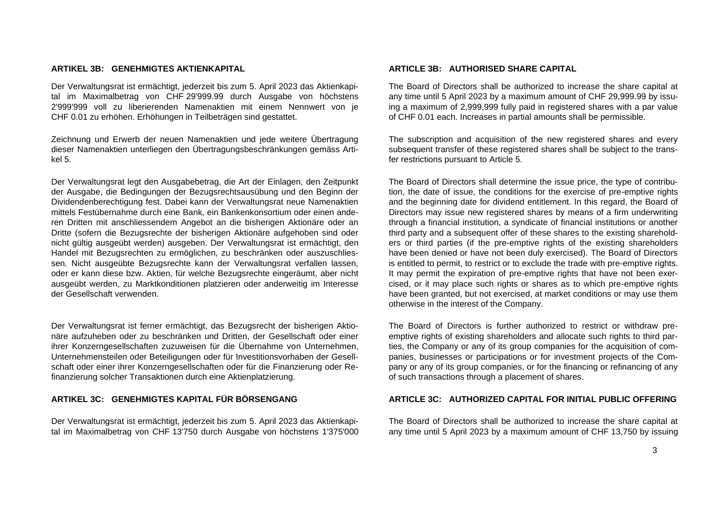#### **ARTIKEL 3B: GENEHMIGTES AKTIENKAPITAL**

Der Verwaltungsrat ist ermächtigt, jederzeit bis zum 5. April 2023 das Aktienkapital im Maximalbetrag von CHF 29'999.99 durch Ausgabe von höchstens 2'999'999 voll zu liberierenden Namenaktien mit einem Nennwert von je CHF 0.01 zu erhöhen. Erhöhungen in Teilbeträgen sind gestattet.

Zeichnung und Erwerb der neuen Namenaktien und jede weitere Übertragung dieser Namenaktien unterliegen den Übertragungsbeschränkungen gemäss Artikel 5.

Der Verwaltungsrat legt den Ausgabebetrag, die Art der Einlagen, den Zeitpunkt der Ausgabe, die Bedingungen der Bezugsrechtsausübung und den Beginn der Dividendenberechtigung fest. Dabei kann der Verwaltungsrat neue Namenaktien mittels Festübernahme durch eine Bank, ein Bankenkonsortium oder einen anderen Dritten mit anschliessendem Angebot an die bisherigen Aktionäre oder an Dritte (sofern die Bezugsrechte der bisherigen Aktionäre aufgehoben sind oder nicht gültig ausgeübt werden) ausgeben. Der Verwaltungsrat ist ermächtigt, den Handel mit Bezugsrechten zu ermöglichen, zu beschränken oder auszuschliessen. Nicht ausgeübte Bezugsrechte kann der Verwaltungsrat verfallen lassen, oder er kann diese bzw. Aktien, für welche Bezugsrechte eingeräumt, aber nicht ausgeübt werden, zu Marktkonditionen platzieren oder anderweitig im Interesse der Gesellschaft verwenden.

Der Verwaltungsrat ist ferner ermächtigt, das Bezugsrecht der bisherigen Aktionäre aufzuheben oder zu beschränken und Dritten, der Gesellschaft oder einer ihrer Konzerngesellschaften zuzuweisen für die Übernahme von Unternehmen, Unternehmensteilen oder Beteiligungen oder für Investitionsvorhaben der Gesellschaft oder einer ihrer Konzerngesellschaften oder für die Finanzierung oder Refinanzierung solcher Transaktionen durch eine Aktienplatzierung.

Der Verwaltungsrat ist ermächtigt, jederzeit bis zum 5. April 2023 das Aktienkapital im Maximalbetrag von CHF 13'750 durch Ausgabe von höchstens 1'375'000

## **ARTICLE 3B: AUTHORISED SHARE CAPITAL**

The Board of Directors shall be authorized to increase the share capital at any time until 5 April 2023 by a maximum amount of CHF 29,999.99 by issuing a maximum of 2,999,999 fully paid in registered shares with a par value of CHF 0.01 each. Increases in partial amounts shall be permissible.

The subscription and acquisition of the new registered shares and every subsequent transfer of these registered shares shall be subject to the transfer restrictions pursuant to Article 5.

The Board of Directors shall determine the issue price, the type of contribution, the date of issue, the conditions for the exercise of pre-emptive rights and the beginning date for dividend entitlement. In this regard, the Board of Directors may issue new registered shares by means of a firm underwriting through a financial institution, a syndicate of financial institutions or another third party and a subsequent offer of these shares to the existing shareholders or third parties (if the pre-emptive rights of the existing shareholders have been denied or have not been duly exercised). The Board of Directors is entitled to permit, to restrict or to exclude the trade with pre-emptive rights. It may permit the expiration of pre-emptive rights that have not been exercised, or it may place such rights or shares as to which pre-emptive rights have been granted, but not exercised, at market conditions or may use them otherwise in the interest of the Company.

The Board of Directors is further authorized to restrict or withdraw preemptive rights of existing shareholders and allocate such rights to third parties, the Company or any of its group companies for the acquisition of companies, businesses or participations or for investment projects of the Company or any of its group companies, or for the financing or refinancing of any of such transactions through a placement of shares.

## **ARTIKEL 3C: GENEHMIGTES KAPITAL FÜR BÖRSENGANG ARTICLE 3C: AUTHORIZED CAPITAL FOR INITIAL PUBLIC OFFERING**

The Board of Directors shall be authorized to increase the share capital at any time until 5 April 2023 by a maximum amount of CHF 13,750 by issuing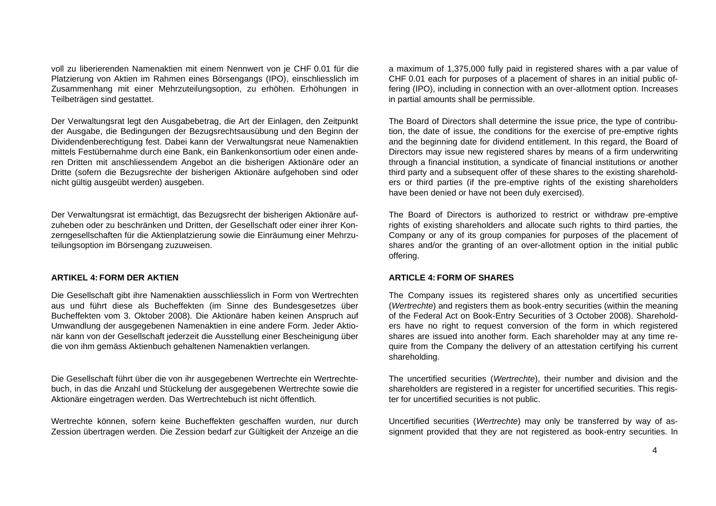voll zu liberierenden Namenaktien mit einem Nennwert von je CHF 0.01 für die Platzierung von Aktien im Rahmen eines Börsengangs (IPO), einschliesslich im Zusammenhang mit einer Mehrzuteilungsoption, zu erhöhen. Erhöhungen in Teilbeträgen sind gestattet.

Der Verwaltungsrat legt den Ausgabebetrag, die Art der Einlagen, den Zeitpunkt der Ausgabe, die Bedingungen der Bezugsrechtsausübung und den Beginn der Dividendenberechtigung fest. Dabei kann der Verwaltungsrat neue Namenaktien mittels Festübernahme durch eine Bank, ein Bankenkonsortium oder einen anderen Dritten mit anschliessendem Angebot an die bisherigen Aktionäre oder an Dritte (sofern die Bezugsrechte der bisherigen Aktionäre aufgehoben sind oder nicht gültig ausgeübt werden) ausgeben.

Der Verwaltungsrat ist ermächtigt, das Bezugsrecht der bisherigen Aktionäre aufzuheben oder zu beschränken und Dritten, der Gesellschaft oder einer ihrer Konzerngesellschaften für die Aktienplatzierung sowie die Einräumung einer Mehrzuteilungsoption im Börsengang zuzuweisen.

## **ARTIKEL 4: FORM DER AKTIEN**

Die Gesellschaft gibt ihre Namenaktien ausschliesslich in Form von Wertrechten aus und führt diese als Bucheffekten (im Sinne des Bundesgesetzes über Bucheffekten vom 3. Oktober 2008). Die Aktionäre haben keinen Anspruch auf Umwandlung der ausgegebenen Namenaktien in eine andere Form. Jeder Aktionär kann von der Gesellschaft jederzeit die Ausstellung einer Bescheinigung über die von ihm gemäss Aktienbuch gehaltenen Namenaktien verlangen.

Die Gesellschaft führt über die von ihr ausgegebenen Wertrechte ein Wertrechtebuch, in das die Anzahl und Stückelung der ausgegebenen Wertrechte sowie die Aktionäre eingetragen werden. Das Wertrechtebuch ist nicht öffentlich.

Wertrechte können, sofern keine Bucheffekten geschaffen wurden, nur durch Zession übertragen werden. Die Zession bedarf zur Gültigkeit der Anzeige an die a maximum of 1,375,000 fully paid in registered shares with a par value of CHF 0.01 each for purposes of a placement of shares in an initial public offering (IPO), including in connection with an over-allotment option. Increases in partial amounts shall be permissible.

The Board of Directors shall determine the issue price, the type of contribution, the date of issue, the conditions for the exercise of pre-emptive rights and the beginning date for dividend entitlement. In this regard, the Board of Directors may issue new registered shares by means of a firm underwriting through a financial institution, a syndicate of financial institutions or another third party and a subsequent offer of these shares to the existing shareholders or third parties (if the pre-emptive rights of the existing shareholders have been denied or have not been duly exercised).

The Board of Directors is authorized to restrict or withdraw pre-emptive rights of existing shareholders and allocate such rights to third parties, the Company or any of its group companies for purposes of the placement of shares and/or the granting of an over-allotment option in the initial public offering.

## **ARTICLE 4: FORM OF SHARES**

The Company issues its registered shares only as uncertified securities (*Wertrechte*) and registers them as book-entry securities (within the meaning of the Federal Act on Book-Entry Securities of 3 October 2008). Shareholders have no right to request conversion of the form in which registered shares are issued into another form. Each shareholder may at any time require from the Company the delivery of an attestation certifying his current shareholding.

The uncertified securities (*Wertrechte*), their number and division and the shareholders are registered in a register for uncertified securities. This register for uncertified securities is not public.

Uncertified securities (*Wertrechte*) may only be transferred by way of assignment provided that they are not registered as book-entry securities. In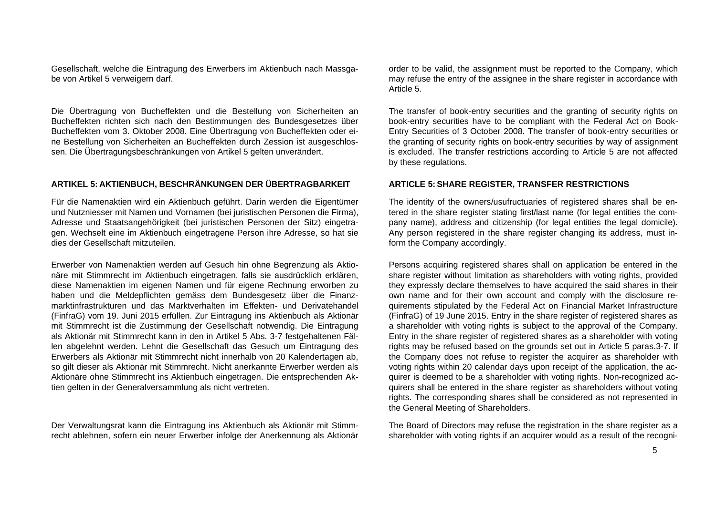Gesellschaft, welche die Eintragung des Erwerbers im Aktienbuch nach Massgabe von Artikel 5 verweigern darf.

Die Übertragung von Bucheffekten und die Bestellung von Sicherheiten an Bucheffekten richten sich nach den Bestimmungen des Bundesgesetzes über Bucheffekten vom 3. Oktober 2008. Eine Übertragung von Bucheffekten oder eine Bestellung von Sicherheiten an Bucheffekten durch Zession ist ausgeschlossen. Die Übertragungsbeschränkungen von Artikel 5 gelten unverändert.

# **ARTIKEL 5: AKTIENBUCH, BESCHRÄNKUNGEN DER ÜBERTRAGBARKEIT**

Für die Namenaktien wird ein Aktienbuch geführt. Darin werden die Eigentümer und Nutzniesser mit Namen und Vornamen (bei juristischen Personen die Firma), Adresse und Staatsangehörigkeit (bei juristischen Personen der Sitz) eingetragen. Wechselt eine im Aktienbuch eingetragene Person ihre Adresse, so hat sie dies der Gesellschaft mitzuteilen.

Erwerber von Namenaktien werden auf Gesuch hin ohne Begrenzung als Aktionäre mit Stimmrecht im Aktienbuch eingetragen, falls sie ausdrücklich erklären, diese Namenaktien im eigenen Namen und für eigene Rechnung erworben zu haben und die Meldepflichten gemäss dem Bundesgesetz über die Finanzmarktinfrastrukturen und das Marktverhalten im Effekten- und Derivatehandel (FinfraG) vom 19. Juni 2015 erfüllen. Zur Eintragung ins Aktienbuch als Aktionär mit Stimmrecht ist die Zustimmung der Gesellschaft notwendig. Die Eintragung als Aktionär mit Stimmrecht kann in den in Artikel 5 Abs. 3-7 festgehaltenen Fällen abgelehnt werden. Lehnt die Gesellschaft das Gesuch um Eintragung des Erwerbers als Aktionär mit Stimmrecht nicht innerhalb von 20 Kalendertagen ab, so gilt dieser als Aktionär mit Stimmrecht. Nicht anerkannte Erwerber werden als Aktionäre ohne Stimmrecht ins Aktienbuch eingetragen. Die entsprechenden Aktien gelten in der Generalversammlung als nicht vertreten.

Der Verwaltungsrat kann die Eintragung ins Aktienbuch als Aktionär mit Stimmrecht ablehnen, sofern ein neuer Erwerber infolge der Anerkennung als Aktionär order to be valid, the assignment must be reported to the Company, which may refuse the entry of the assignee in the share register in accordance with Article 5.

The transfer of book-entry securities and the granting of security rights on book-entry securities have to be compliant with the Federal Act on Book-Entry Securities of 3 October 2008. The transfer of book-entry securities or the granting of security rights on book-entry securities by way of assignment is excluded. The transfer restrictions according to Article 5 are not affected by these regulations.

## **ARTICLE 5: SHARE REGISTER, TRANSFER RESTRICTIONS**

The identity of the owners/usufructuaries of registered shares shall be entered in the share register stating first/last name (for legal entities the company name), address and citizenship (for legal entities the legal domicile). Any person registered in the share register changing its address, must inform the Company accordingly.

Persons acquiring registered shares shall on application be entered in the share register without limitation as shareholders with voting rights, provided they expressly declare themselves to have acquired the said shares in their own name and for their own account and comply with the disclosure requirements stipulated by the Federal Act on Financial Market Infrastructure (FinfraG) of 19 June 2015. Entry in the share register of registered shares as a shareholder with voting rights is subject to the approval of the Company. Entry in the share register of registered shares as a shareholder with voting rights may be refused based on the grounds set out in Article 5 paras.3-7. If the Company does not refuse to register the acquirer as shareholder with voting rights within 20 calendar days upon receipt of the application, the acquirer is deemed to be a shareholder with voting rights. Non-recognized acquirers shall be entered in the share register as shareholders without voting rights. The corresponding shares shall be considered as not represented in the General Meeting of Shareholders.

The Board of Directors may refuse the registration in the share register as a shareholder with voting rights if an acquirer would as a result of the recogni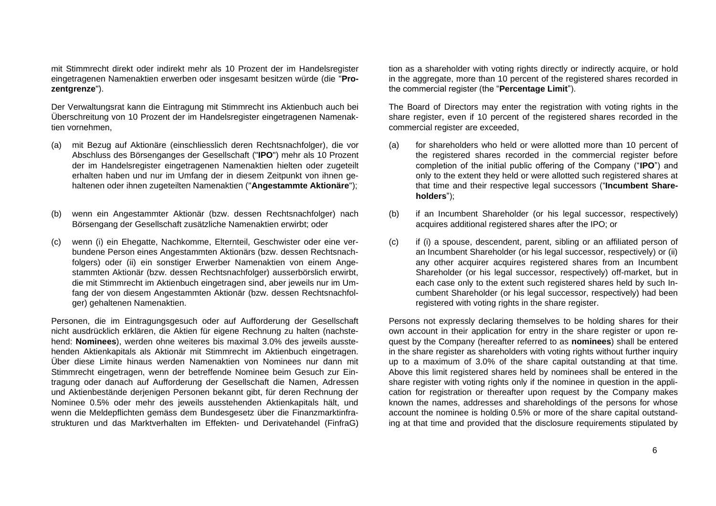mit Stimmrecht direkt oder indirekt mehr als 10 Prozent der im Handelsregister eingetragenen Namenaktien erwerben oder insgesamt besitzen würde (die "**Prozentgrenze**").

Der Verwaltungsrat kann die Eintragung mit Stimmrecht ins Aktienbuch auch bei Überschreitung von 10 Prozent der im Handelsregister eingetragenen Namenaktien vornehmen,

- (a) mit Bezug auf Aktionäre (einschliesslich deren Rechtsnachfolger), die vor Abschluss des Börsenganges der Gesellschaft ("**IPO**") mehr als 10 Prozent der im Handelsregister eingetragenen Namenaktien hielten oder zugeteilt erhalten haben und nur im Umfang der in diesem Zeitpunkt von ihnen gehaltenen oder ihnen zugeteilten Namenaktien ("**Angestammte Aktionäre**");
- (b) wenn ein Angestammter Aktionär (bzw. dessen Rechtsnachfolger) nach Börsengang der Gesellschaft zusätzliche Namenaktien erwirbt; oder
- (c) wenn (i) ein Ehegatte, Nachkomme, Elternteil, Geschwister oder eine verbundene Person eines Angestammten Aktionärs (bzw. dessen Rechtsnachfolgers) oder (ii) ein sonstiger Erwerber Namenaktien von einem Angestammten Aktionär (bzw. dessen Rechtsnachfolger) ausserbörslich erwirbt, die mit Stimmrecht im Aktienbuch eingetragen sind, aber jeweils nur im Umfang der von diesem Angestammten Aktionär (bzw. dessen Rechtsnachfolger) gehaltenen Namenaktien.

Personen, die im Eintragungsgesuch oder auf Aufforderung der Gesellschaft nicht ausdrücklich erklären, die Aktien für eigene Rechnung zu halten (nachstehend: **Nominees**), werden ohne weiteres bis maximal 3.0% des jeweils ausstehenden Aktienkapitals als Aktionär mit Stimmrecht im Aktienbuch eingetragen. Über diese Limite hinaus werden Namenaktien von Nominees nur dann mit Stimmrecht eingetragen, wenn der betreffende Nominee beim Gesuch zur Eintragung oder danach auf Aufforderung der Gesellschaft die Namen, Adressen und Aktienbestände derjenigen Personen bekannt gibt, für deren Rechnung der Nominee 0.5% oder mehr des jeweils ausstehenden Aktienkapitals hält, und wenn die Meldepflichten gemäss dem Bundesgesetz über die Finanzmarktinfrastrukturen und das Marktverhalten im Effekten- und Derivatehandel (FinfraG) tion as a shareholder with voting rights directly or indirectly acquire, or hold in the aggregate, more than 10 percent of the registered shares recorded in the commercial register (the "**Percentage Limit**").

The Board of Directors may enter the registration with voting rights in the share register, even if 10 percent of the registered shares recorded in the commercial register are exceeded,

- (a) for shareholders who held or were allotted more than 10 percent of the registered shares recorded in the commercial register before completion of the initial public offering of the Company ("**IPO**") and only to the extent they held or were allotted such registered shares at that time and their respective legal successors ("**Incumbent Shareholders**");
- (b) if an Incumbent Shareholder (or his legal successor, respectively) acquires additional registered shares after the IPO; or
- (c) if (i) a spouse, descendent, parent, sibling or an affiliated person of an Incumbent Shareholder (or his legal successor, respectively) or (ii) any other acquirer acquires registered shares from an Incumbent Shareholder (or his legal successor, respectively) off-market, but in each case only to the extent such registered shares held by such Incumbent Shareholder (or his legal successor, respectively) had been registered with voting rights in the share register.

Persons not expressly declaring themselves to be holding shares for their own account in their application for entry in the share register or upon request by the Company (hereafter referred to as **nominees**) shall be entered in the share register as shareholders with voting rights without further inquiry up to a maximum of 3.0% of the share capital outstanding at that time. Above this limit registered shares held by nominees shall be entered in the share register with voting rights only if the nominee in question in the application for registration or thereafter upon request by the Company makes known the names, addresses and shareholdings of the persons for whose account the nominee is holding 0.5% or more of the share capital outstanding at that time and provided that the disclosure requirements stipulated by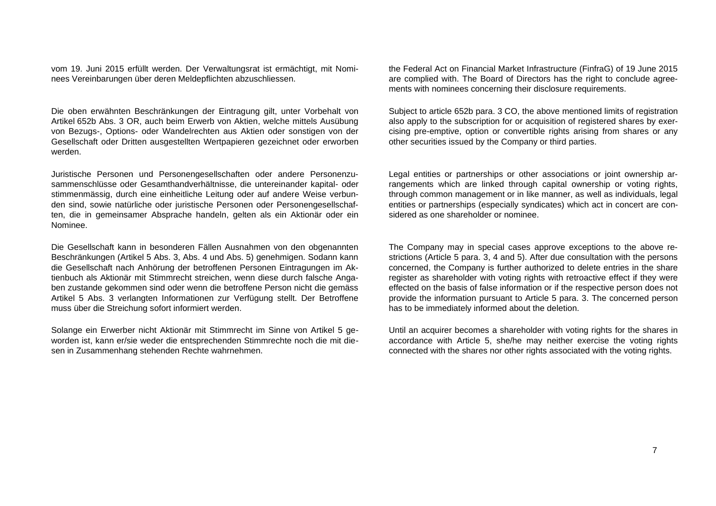vom 19. Juni 2015 erfüllt werden. Der Verwaltungsrat ist ermächtigt, mit Nominees Vereinbarungen über deren Meldepflichten abzuschliessen.

Die oben erwähnten Beschränkungen der Eintragung gilt, unter Vorbehalt von Artikel 652b Abs. 3 OR, auch beim Erwerb von Aktien, welche mittels Ausübung von Bezugs-, Options- oder Wandelrechten aus Aktien oder sonstigen von der Gesellschaft oder Dritten ausgestellten Wertpapieren gezeichnet oder erworben werden.

Juristische Personen und Personengesellschaften oder andere Personenzusammenschlüsse oder Gesamthandverhältnisse, die untereinander kapital- oder stimmenmässig, durch eine einheitliche Leitung oder auf andere Weise verbunden sind, sowie natürliche oder juristische Personen oder Personengesellschaften, die in gemeinsamer Absprache handeln, gelten als ein Aktionär oder ein Nominee.

Die Gesellschaft kann in besonderen Fällen Ausnahmen von den obgenannten Beschränkungen (Artikel 5 Abs. 3, Abs. 4 und Abs. 5) genehmigen. Sodann kann die Gesellschaft nach Anhörung der betroffenen Personen Eintragungen im Aktienbuch als Aktionär mit Stimmrecht streichen, wenn diese durch falsche Angaben zustande gekommen sind oder wenn die betroffene Person nicht die gemäss Artikel 5 Abs. 3 verlangten Informationen zur Verfügung stellt. Der Betroffene muss über die Streichung sofort informiert werden.

Solange ein Erwerber nicht Aktionär mit Stimmrecht im Sinne von Artikel 5 geworden ist, kann er/sie weder die entsprechenden Stimmrechte noch die mit diesen in Zusammenhang stehenden Rechte wahrnehmen.

the Federal Act on Financial Market Infrastructure (FinfraG) of 19 June 2015 are complied with. The Board of Directors has the right to conclude agreements with nominees concerning their disclosure requirements.

Subject to article 652b para. 3 CO, the above mentioned limits of registration also apply to the subscription for or acquisition of registered shares by exercising pre-emptive, option or convertible rights arising from shares or any other securities issued by the Company or third parties.

Legal entities or partnerships or other associations or joint ownership arrangements which are linked through capital ownership or voting rights, through common management or in like manner, as well as individuals, legal entities or partnerships (especially syndicates) which act in concert are considered as one shareholder or nominee.

The Company may in special cases approve exceptions to the above restrictions (Article 5 para. 3, 4 and 5). After due consultation with the persons concerned, the Company is further authorized to delete entries in the share register as shareholder with voting rights with retroactive effect if they were effected on the basis of false information or if the respective person does not provide the information pursuant to Article 5 para. 3. The concerned person has to be immediately informed about the deletion.

Until an acquirer becomes a shareholder with voting rights for the shares in accordance with Article 5, she/he may neither exercise the voting rights connected with the shares nor other rights associated with the voting rights.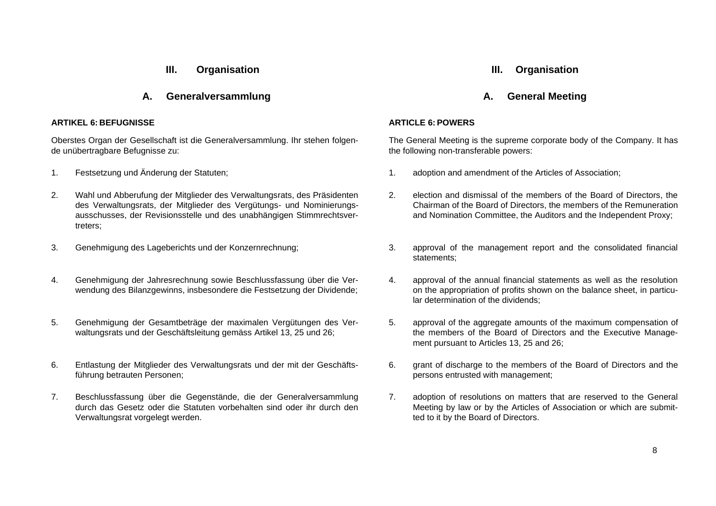# **III. Organisation**

# **A. Generalversammlung**

## **ARTIKEL 6: BEFUGNISSE**

Oberstes Organ der Gesellschaft ist die Generalversammlung. Ihr stehen folgende unübertragbare Befugnisse zu:

- 
- 2. Wahl und Abberufung der Mitglieder des Verwaltungsrats, des Präsidenten des Verwaltungsrats, der Mitglieder des Vergütungs- und Nominierungsausschusses, der Revisionsstelle und des unabhängigen Stimmrechtsvertreters;
- 
- 4. Genehmigung der Jahresrechnung sowie Beschlussfassung über die Verwendung des Bilanzgewinns, insbesondere die Festsetzung der Dividende;
- 5. Genehmigung der Gesamtbeträge der maximalen Vergütungen des Verwaltungsrats und der Geschäftsleitung gemäss Artikel 13, 25 und 26;
- 6. Entlastung der Mitglieder des Verwaltungsrats und der mit der Geschäftsführung betrauten Personen;
- 7. Beschlussfassung über die Gegenstände, die der Generalversammlung durch das Gesetz oder die Statuten vorbehalten sind oder ihr durch den Verwaltungsrat vorgelegt werden.

# **III. Organisation**

# **A. General Meeting**

## **ARTICLE 6: POWERS**

The General Meeting is the supreme corporate body of the Company. It has the following non-transferable powers:

- 1. Festsetzung und Änderung der Statuten; 1. adoption and amendment of the Articles of Association;
	- 2. election and dismissal of the members of the Board of Directors, the Chairman of the Board of Directors, the members of the Remuneration and Nomination Committee, the Auditors and the Independent Proxy;
- 3. Genehmigung des Lageberichts und der Konzernrechnung; 3. approval of the management report and the consolidated financial statements;
	- 4. approval of the annual financial statements as well as the resolution on the appropriation of profits shown on the balance sheet, in particular determination of the dividends;
	- 5. approval of the aggregate amounts of the maximum compensation of the members of the Board of Directors and the Executive Management pursuant to Articles 13, 25 and 26;
	- 6. grant of discharge to the members of the Board of Directors and the persons entrusted with management;
	- 7. adoption of resolutions on matters that are reserved to the General Meeting by law or by the Articles of Association or which are submitted to it by the Board of Directors.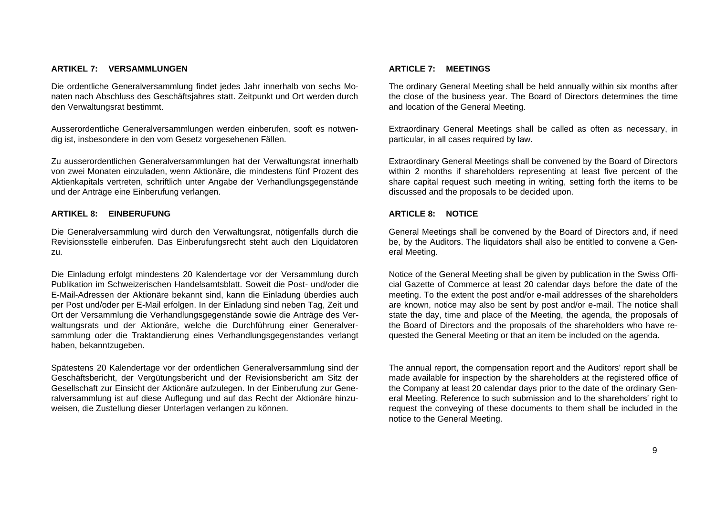## **ARTIKEL 7: VERSAMMLUNGEN**

Die ordentliche Generalversammlung findet jedes Jahr innerhalb von sechs Monaten nach Abschluss des Geschäftsjahres statt. Zeitpunkt und Ort werden durch den Verwaltungsrat bestimmt.

Ausserordentliche Generalversammlungen werden einberufen, sooft es notwendig ist, insbesondere in den vom Gesetz vorgesehenen Fällen.

Zu ausserordentlichen Generalversammlungen hat der Verwaltungsrat innerhalb von zwei Monaten einzuladen, wenn Aktionäre, die mindestens fünf Prozent des Aktienkapitals vertreten, schriftlich unter Angabe der Verhandlungsgegenstände und der Anträge eine Einberufung verlangen.

## **ARTIKEL 8: EINBERUFUNG**

Die Generalversammlung wird durch den Verwaltungsrat, nötigenfalls durch die Revisionsstelle einberufen. Das Einberufungsrecht steht auch den Liquidatoren zu.

Die Einladung erfolgt mindestens 20 Kalendertage vor der Versammlung durch Publikation im Schweizerischen Handelsamtsblatt. Soweit die Post- und/oder die E-Mail-Adressen der Aktionäre bekannt sind, kann die Einladung überdies auch per Post und/oder per E-Mail erfolgen. In der Einladung sind neben Tag, Zeit und Ort der Versammlung die Verhandlungsgegenstände sowie die Anträge des Verwaltungsrats und der Aktionäre, welche die Durchführung einer Generalversammlung oder die Traktandierung eines Verhandlungsgegenstandes verlangt haben, bekanntzugeben.

Spätestens 20 Kalendertage vor der ordentlichen Generalversammlung sind der Geschäftsbericht, der Vergütungsbericht und der Revisionsbericht am Sitz der Gesellschaft zur Einsicht der Aktionäre aufzulegen. In der Einberufung zur Generalversammlung ist auf diese Auflegung und auf das Recht der Aktionäre hinzuweisen, die Zustellung dieser Unterlagen verlangen zu können.

## **ARTICLE 7: MEETINGS**

The ordinary General Meeting shall be held annually within six months after the close of the business year. The Board of Directors determines the time and location of the General Meeting.

Extraordinary General Meetings shall be called as often as necessary, in particular, in all cases required by law.

Extraordinary General Meetings shall be convened by the Board of Directors within 2 months if shareholders representing at least five percent of the share capital request such meeting in writing, setting forth the items to be discussed and the proposals to be decided upon.

## **ARTICLE 8: NOTICE**

General Meetings shall be convened by the Board of Directors and, if need be, by the Auditors. The liquidators shall also be entitled to convene a General Meeting.

Notice of the General Meeting shall be given by publication in the Swiss Official Gazette of Commerce at least 20 calendar days before the date of the meeting. To the extent the post and/or e-mail addresses of the shareholders are known, notice may also be sent by post and/or e-mail. The notice shall state the day, time and place of the Meeting, the agenda, the proposals of the Board of Directors and the proposals of the shareholders who have requested the General Meeting or that an item be included on the agenda.

The annual report, the compensation report and the Auditors' report shall be made available for inspection by the shareholders at the registered office of the Company at least 20 calendar days prior to the date of the ordinary General Meeting. Reference to such submission and to the shareholders' right to request the conveying of these documents to them shall be included in the notice to the General Meeting.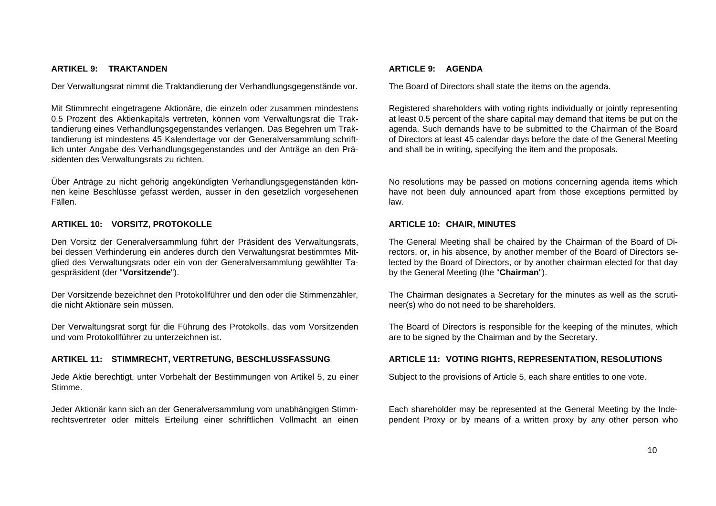## **ARTIKEL 9: TRAKTANDEN**

Der Verwaltungsrat nimmt die Traktandierung der Verhandlungsgegenstände vor.

Mit Stimmrecht eingetragene Aktionäre, die einzeln oder zusammen mindestens 0.5 Prozent des Aktienkapitals vertreten, können vom Verwaltungsrat die Traktandierung eines Verhandlungsgegenstandes verlangen. Das Begehren um Traktandierung ist mindestens 45 Kalendertage vor der Generalversammlung schriftlich unter Angabe des Verhandlungsgegenstandes und der Anträge an den Präsidenten des Verwaltungsrats zu richten.

Über Anträge zu nicht gehörig angekündigten Verhandlungsgegenständen können keine Beschlüsse gefasst werden, ausser in den gesetzlich vorgesehenen Fällen.

#### **ARTIKEL 10: VORSITZ, PROTOKOLLE**

Den Vorsitz der Generalversammlung führt der Präsident des Verwaltungsrats, bei dessen Verhinderung ein anderes durch den Verwaltungsrat bestimmtes Mitglied des Verwaltungsrats oder ein von der Generalversammlung gewählter Tagespräsident (der "**Vorsitzende**").

Der Vorsitzende bezeichnet den Protokollführer und den oder die Stimmenzähler, die nicht Aktionäre sein müssen.

Der Verwaltungsrat sorgt für die Führung des Protokolls, das vom Vorsitzenden und vom Protokollführer zu unterzeichnen ist.

#### **ARTIKEL 11: STIMMRECHT, VERTRETUNG, BESCHLUSSFASSUNG**

Jede Aktie berechtigt, unter Vorbehalt der Bestimmungen von Artikel 5, zu einer Stimme.

Jeder Aktionär kann sich an der Generalversammlung vom unabhängigen Stimmrechtsvertreter oder mittels Erteilung einer schriftlichen Vollmacht an einen

## **ARTICLE 9: AGENDA**

The Board of Directors shall state the items on the agenda.

Registered shareholders with voting rights individually or jointly representing at least 0.5 percent of the share capital may demand that items be put on the agenda. Such demands have to be submitted to the Chairman of the Board of Directors at least 45 calendar days before the date of the General Meeting and shall be in writing, specifying the item and the proposals.

No resolutions may be passed on motions concerning agenda items which have not been duly announced apart from those exceptions permitted by law.

## **ARTICLE 10: CHAIR, MINUTES**

The General Meeting shall be chaired by the Chairman of the Board of Directors, or, in his absence, by another member of the Board of Directors selected by the Board of Directors, or by another chairman elected for that day by the General Meeting (the "**Chairman**").

The Chairman designates a Secretary for the minutes as well as the scrutineer(s) who do not need to be shareholders.

The Board of Directors is responsible for the keeping of the minutes, which are to be signed by the Chairman and by the Secretary.

#### **ARTICLE 11: VOTING RIGHTS, REPRESENTATION, RESOLUTIONS**

Subject to the provisions of Article 5, each share entitles to one vote.

Each shareholder may be represented at the General Meeting by the Independent Proxy or by means of a written proxy by any other person who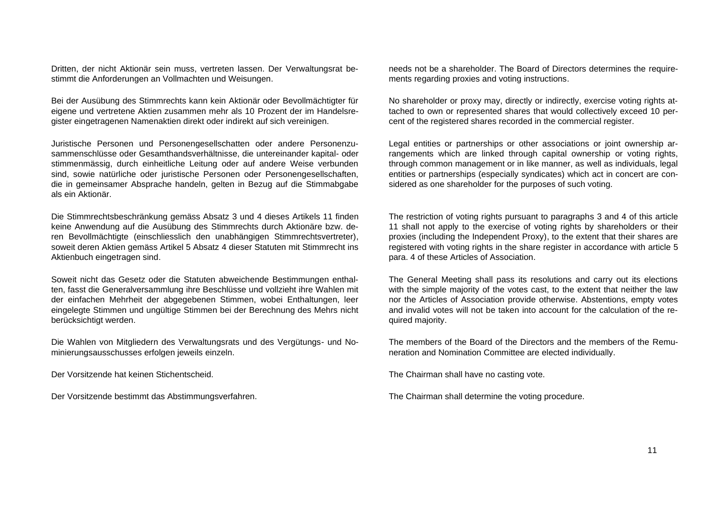Dritten, der nicht Aktionär sein muss, vertreten lassen. Der Verwaltungsrat bestimmt die Anforderungen an Vollmachten und Weisungen.

Bei der Ausübung des Stimmrechts kann kein Aktionär oder Bevollmächtigter für eigene und vertretene Aktien zusammen mehr als 10 Prozent der im Handelsregister eingetragenen Namenaktien direkt oder indirekt auf sich vereinigen.

Juristische Personen und Personengesellschatten oder andere Personenzusammenschlüsse oder Gesamthandsverhältnisse, die untereinander kapital- oder stimmenmässig, durch einheitliche Leitung oder auf andere Weise verbunden sind, sowie natürliche oder juristische Personen oder Personengesellschaften, die in gemeinsamer Absprache handeln, gelten in Bezug auf die Stimmabgabe als ein Aktionär.

Die Stimmrechtsbeschränkung gemäss Absatz 3 und 4 dieses Artikels 11 finden keine Anwendung auf die Ausübung des Stimmrechts durch Aktionäre bzw. deren Bevollmächtigte (einschliesslich den unabhängigen Stimmrechtsvertreter), soweit deren Aktien gemäss Artikel 5 Absatz 4 dieser Statuten mit Stimmrecht ins Aktienbuch eingetragen sind.

Soweit nicht das Gesetz oder die Statuten abweichende Bestimmungen enthalten, fasst die Generalversammlung ihre Beschlüsse und vollzieht ihre Wahlen mit der einfachen Mehrheit der abgegebenen Stimmen, wobei Enthaltungen, leer eingelegte Stimmen und ungültige Stimmen bei der Berechnung des Mehrs nicht berücksichtigt werden.

Die Wahlen von Mitgliedern des Verwaltungsrats und des Vergütungs- und Nominierungsausschusses erfolgen jeweils einzeln.

Der Vorsitzende hat keinen Stichentscheid. The Chairman shall have no casting vote.

Der Vorsitzende bestimmt das Abstimmungsverfahren. The Chairman shall determine the voting procedure.

needs not be a shareholder. The Board of Directors determines the requirements regarding proxies and voting instructions.

No shareholder or proxy may, directly or indirectly, exercise voting rights attached to own or represented shares that would collectively exceed 10 percent of the registered shares recorded in the commercial register.

Legal entities or partnerships or other associations or joint ownership arrangements which are linked through capital ownership or voting rights, through common management or in like manner, as well as individuals, legal entities or partnerships (especially syndicates) which act in concert are considered as one shareholder for the purposes of such voting.

The restriction of voting rights pursuant to paragraphs 3 and 4 of this article 11 shall not apply to the exercise of voting rights by shareholders or their proxies (including the Independent Proxy), to the extent that their shares are registered with voting rights in the share register in accordance with article 5 para. 4 of these Articles of Association.

The General Meeting shall pass its resolutions and carry out its elections with the simple majority of the votes cast, to the extent that neither the law nor the Articles of Association provide otherwise. Abstentions, empty votes and invalid votes will not be taken into account for the calculation of the required majority.

The members of the Board of the Directors and the members of the Remuneration and Nomination Committee are elected individually.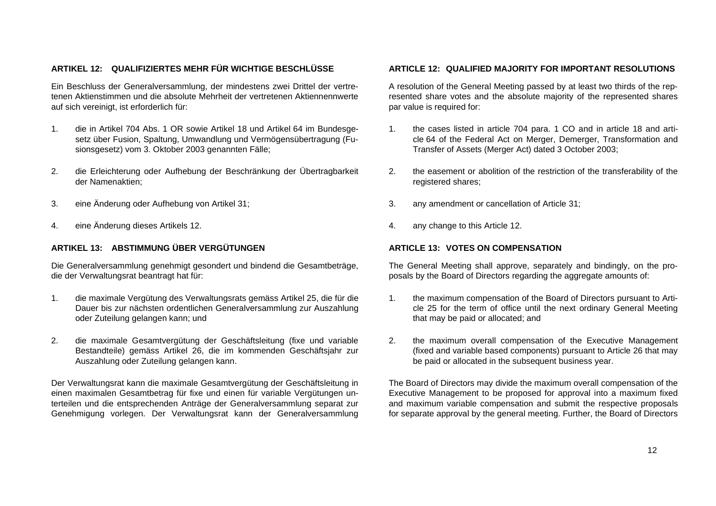# **ARTIKEL 12: QUALIFIZIERTES MEHR FÜR WICHTIGE BESCHLÜSSE**

Ein Beschluss der Generalversammlung, der mindestens zwei Drittel der vertretenen Aktienstimmen und die absolute Mehrheit der vertretenen Aktiennennwerte auf sich vereinigt, ist erforderlich für:

- 1. die in Artikel 704 Abs. 1 OR sowie Artikel 18 und Artikel 64 im Bundesgesetz über Fusion, Spaltung, Umwandlung und Vermögensübertragung (Fusionsgesetz) vom 3. Oktober 2003 genannten Fälle;
- 2. die Erleichterung oder Aufhebung der Beschränkung der Übertragbarkeit der Namenaktien;
- 3. eine Änderung oder Aufhebung von Artikel 31; 3. any amendment or cancellation of Article 31;
- 4. eine Änderung dieses Artikels 12. 4. any change to this Article 12.

# **ARTIKEL 13: ABSTIMMUNG ÜBER VERGÜTUNGEN**

Die Generalversammlung genehmigt gesondert und bindend die Gesamtbeträge, die der Verwaltungsrat beantragt hat für:

- 1. die maximale Vergütung des Verwaltungsrats gemäss Artikel 25, die für die Dauer bis zur nächsten ordentlichen Generalversammlung zur Auszahlung oder Zuteilung gelangen kann; und
- 2. die maximale Gesamtvergütung der Geschäftsleitung (fixe und variable Bestandteile) gemäss Artikel 26, die im kommenden Geschäftsjahr zur Auszahlung oder Zuteilung gelangen kann.

Der Verwaltungsrat kann die maximale Gesamtvergütung der Geschäftsleitung in einen maximalen Gesamtbetrag für fixe und einen für variable Vergütungen unterteilen und die entsprechenden Anträge der Generalversammlung separat zur Genehmigung vorlegen. Der Verwaltungsrat kann der Generalversammlung

## **ARTICLE 12: QUALIFIED MAJORITY FOR IMPORTANT RESOLUTIONS**

A resolution of the General Meeting passed by at least two thirds of the represented share votes and the absolute majority of the represented shares par value is required for:

- 1. the cases listed in article 704 para. 1 CO and in article 18 and article 64 of the Federal Act on Merger, Demerger, Transformation and Transfer of Assets (Merger Act) dated 3 October 2003;
- 2. the easement or abolition of the restriction of the transferability of the registered shares;
- 
- 

## **ARTICLE 13: VOTES ON COMPENSATION**

The General Meeting shall approve, separately and bindingly, on the proposals by the Board of Directors regarding the aggregate amounts of:

- 1. the maximum compensation of the Board of Directors pursuant to Article 25 for the term of office until the next ordinary General Meeting that may be paid or allocated; and
- 2. the maximum overall compensation of the Executive Management (fixed and variable based components) pursuant to Article 26 that may be paid or allocated in the subsequent business year.

The Board of Directors may divide the maximum overall compensation of the Executive Management to be proposed for approval into a maximum fixed and maximum variable compensation and submit the respective proposals for separate approval by the general meeting. Further, the Board of Directors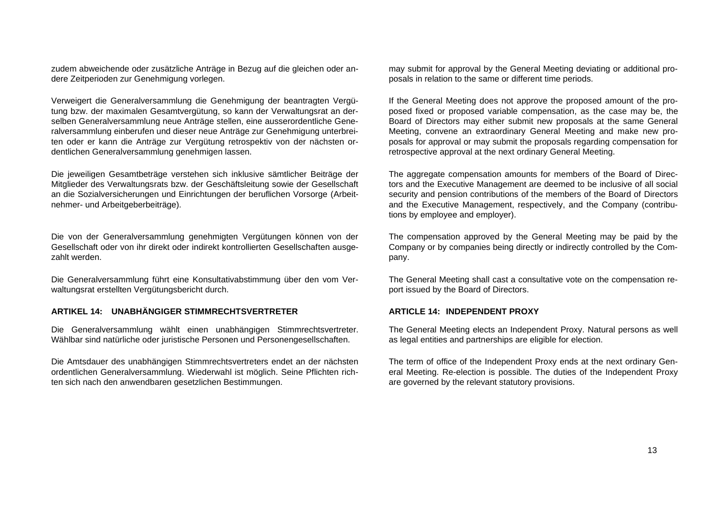zudem abweichende oder zusätzliche Anträge in Bezug auf die gleichen oder andere Zeitperioden zur Genehmigung vorlegen.

Verweigert die Generalversammlung die Genehmigung der beantragten Vergütung bzw. der maximalen Gesamtvergütung, so kann der Verwaltungsrat an derselben Generalversammlung neue Anträge stellen, eine ausserordentliche Generalversammlung einberufen und dieser neue Anträge zur Genehmigung unterbreiten oder er kann die Anträge zur Vergütung retrospektiv von der nächsten ordentlichen Generalversammlung genehmigen lassen.

Die jeweiligen Gesamtbeträge verstehen sich inklusive sämtlicher Beiträge der Mitglieder des Verwaltungsrats bzw. der Geschäftsleitung sowie der Gesellschaft an die Sozialversicherungen und Einrichtungen der beruflichen Vorsorge (Arbeitnehmer- und Arbeitgeberbeiträge).

Die von der Generalversammlung genehmigten Vergütungen können von der Gesellschaft oder von ihr direkt oder indirekt kontrollierten Gesellschaften ausgezahlt werden.

Die Generalversammlung führt eine Konsultativabstimmung über den vom Verwaltungsrat erstellten Vergütungsbericht durch.

#### **ARTIKEL 14: UNABHÄNGIGER STIMMRECHTSVERTRETER**

Die Generalversammlung wählt einen unabhängigen Stimmrechtsvertreter. Wählbar sind natürliche oder juristische Personen und Personengesellschaften.

Die Amtsdauer des unabhängigen Stimmrechtsvertreters endet an der nächsten ordentlichen Generalversammlung. Wiederwahl ist möglich. Seine Pflichten richten sich nach den anwendbaren gesetzlichen Bestimmungen.

may submit for approval by the General Meeting deviating or additional proposals in relation to the same or different time periods.

If the General Meeting does not approve the proposed amount of the proposed fixed or proposed variable compensation, as the case may be, the Board of Directors may either submit new proposals at the same General Meeting, convene an extraordinary General Meeting and make new proposals for approval or may submit the proposals regarding compensation for retrospective approval at the next ordinary General Meeting.

The aggregate compensation amounts for members of the Board of Directors and the Executive Management are deemed to be inclusive of all social security and pension contributions of the members of the Board of Directors and the Executive Management, respectively, and the Company (contributions by employee and employer).

The compensation approved by the General Meeting may be paid by the Company or by companies being directly or indirectly controlled by the Company.

The General Meeting shall cast a consultative vote on the compensation report issued by the Board of Directors.

#### **ARTICLE 14: INDEPENDENT PROXY**

The General Meeting elects an Independent Proxy. Natural persons as well as legal entities and partnerships are eligible for election.

The term of office of the Independent Proxy ends at the next ordinary General Meeting. Re-election is possible. The duties of the Independent Proxy are governed by the relevant statutory provisions.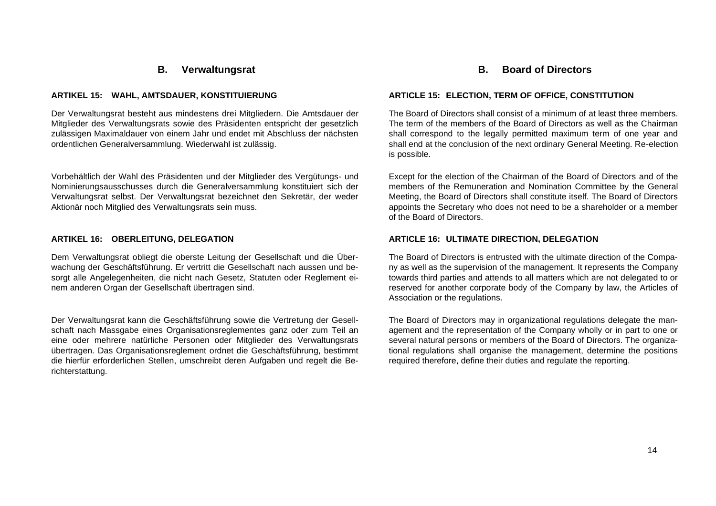# **B. Verwaltungsrat**

## **ARTIKEL 15: WAHL, AMTSDAUER, KONSTITUIERUNG**

Der Verwaltungsrat besteht aus mindestens drei Mitgliedern. Die Amtsdauer der Mitglieder des Verwaltungsrats sowie des Präsidenten entspricht der gesetzlich zulässigen Maximaldauer von einem Jahr und endet mit Abschluss der nächsten ordentlichen Generalversammlung. Wiederwahl ist zulässig.

Vorbehältlich der Wahl des Präsidenten und der Mitglieder des Vergütungs- und Nominierungsausschusses durch die Generalversammlung konstituiert sich der Verwaltungsrat selbst. Der Verwaltungsrat bezeichnet den Sekretär, der weder Aktionär noch Mitglied des Verwaltungsrats sein muss.

## **ARTIKEL 16: OBERLEITUNG, DELEGATION**

Dem Verwaltungsrat obliegt die oberste Leitung der Gesellschaft und die Überwachung der Geschäftsführung. Er vertritt die Gesellschaft nach aussen und besorgt alle Angelegenheiten, die nicht nach Gesetz, Statuten oder Reglement einem anderen Organ der Gesellschaft übertragen sind.

Der Verwaltungsrat kann die Geschäftsführung sowie die Vertretung der Gesellschaft nach Massgabe eines Organisationsreglementes ganz oder zum Teil an eine oder mehrere natürliche Personen oder Mitglieder des Verwaltungsrats übertragen. Das Organisationsreglement ordnet die Geschäftsführung, bestimmt die hierfür erforderlichen Stellen, umschreibt deren Aufgaben und regelt die Berichterstattung.

# **B. Board of Directors**

#### **ARTICLE 15: ELECTION, TERM OF OFFICE, CONSTITUTION**

The Board of Directors shall consist of a minimum of at least three members. The term of the members of the Board of Directors as well as the Chairman shall correspond to the legally permitted maximum term of one year and shall end at the conclusion of the next ordinary General Meeting. Re-election is possible.

Except for the election of the Chairman of the Board of Directors and of the members of the Remuneration and Nomination Committee by the General Meeting, the Board of Directors shall constitute itself. The Board of Directors appoints the Secretary who does not need to be a shareholder or a member of the Board of Directors.

## **ARTICLE 16: ULTIMATE DIRECTION, DELEGATION**

The Board of Directors is entrusted with the ultimate direction of the Company as well as the supervision of the management. It represents the Company towards third parties and attends to all matters which are not delegated to or reserved for another corporate body of the Company by law, the Articles of Association or the regulations.

The Board of Directors may in organizational regulations delegate the management and the representation of the Company wholly or in part to one or several natural persons or members of the Board of Directors. The organizational regulations shall organise the management, determine the positions required therefore, define their duties and regulate the reporting.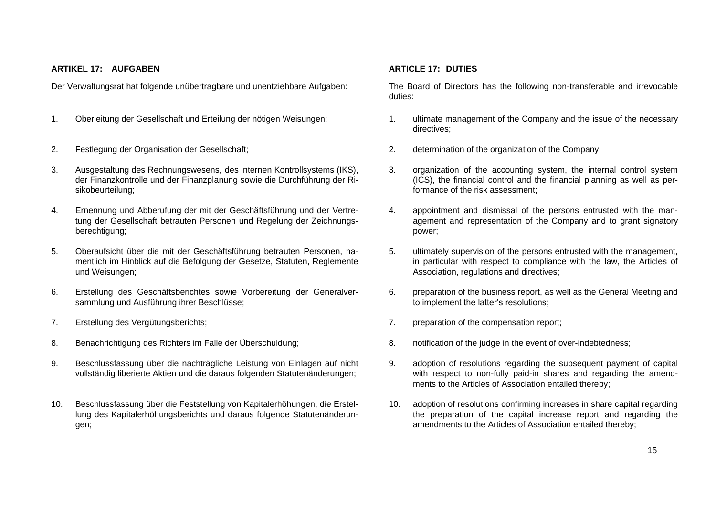## **ARTIKEL 17: AUFGABEN**

Der Verwaltungsrat hat folgende unübertragbare und unentziehbare Aufgaben:

- 1. Oberleitung der Gesellschaft und Erteilung der nötigen Weisungen; 1. ultimate management of the Company and the issue of the necessary
- 
- 3. Ausgestaltung des Rechnungswesens, des internen Kontrollsystems (IKS), der Finanzkontrolle und der Finanzplanung sowie die Durchführung der Risikobeurteilung;
- 4. Ernennung und Abberufung der mit der Geschäftsführung und der Vertretung der Gesellschaft betrauten Personen und Regelung der Zeichnungsberechtigung;
- 5. Oberaufsicht über die mit der Geschäftsführung betrauten Personen, namentlich im Hinblick auf die Befolgung der Gesetze, Statuten, Reglemente und Weisungen;
- 6. Erstellung des Geschäftsberichtes sowie Vorbereitung der Generalversammlung und Ausführung ihrer Beschlüsse;
- 
- 8. Benachrichtigung des Richters im Falle der Überschuldung; 8. notification of the judge in the event of over-indebtedness;
- 9. Beschlussfassung über die nachträgliche Leistung von Einlagen auf nicht vollständig liberierte Aktien und die daraus folgenden Statutenänderungen;
- 10. Beschlussfassung über die Feststellung von Kapitalerhöhungen, die Erstellung des Kapitalerhöhungsberichts und daraus folgende Statutenänderungen;

## **ARTICLE 17: DUTIES**

The Board of Directors has the following non-transferable and irrevocable duties:

- directives;
- 2. Festlegung der Organisation der Gesellschaft; 2. determination of the organization of the Company;
	- 3. organization of the accounting system, the internal control system (ICS), the financial control and the financial planning as well as performance of the risk assessment;
	- 4. appointment and dismissal of the persons entrusted with the management and representation of the Company and to grant signatory power;
	- 5. ultimately supervision of the persons entrusted with the management, in particular with respect to compliance with the law, the Articles of Association, regulations and directives;
	- 6. preparation of the business report, as well as the General Meeting and to implement the latter's resolutions;
- 7. Erstellung des Vergütungsberichts; 7. preparation of the compensation report;
	-
	- 9. adoption of resolutions regarding the subsequent payment of capital with respect to non-fully paid-in shares and regarding the amendments to the Articles of Association entailed thereby;
	- 10. adoption of resolutions confirming increases in share capital regarding the preparation of the capital increase report and regarding the amendments to the Articles of Association entailed thereby;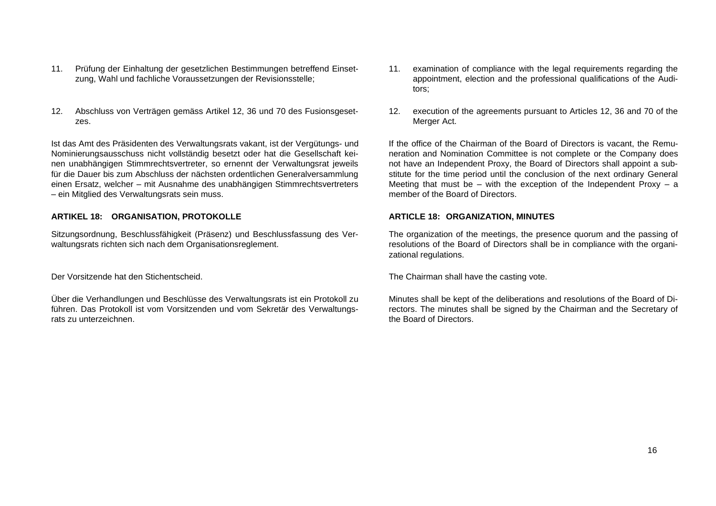- 11. Prüfung der Einhaltung der gesetzlichen Bestimmungen betreffend Einsetzung, Wahl und fachliche Voraussetzungen der Revisionsstelle;
- 12. Abschluss von Verträgen gemäss Artikel 12, 36 und 70 des Fusionsgesetzes.

Ist das Amt des Präsidenten des Verwaltungsrats vakant, ist der Vergütungs- und Nominierungsausschuss nicht vollständig besetzt oder hat die Gesellschaft keinen unabhängigen Stimmrechtsvertreter, so ernennt der Verwaltungsrat jeweils für die Dauer bis zum Abschluss der nächsten ordentlichen Generalversammlung einen Ersatz, welcher – mit Ausnahme des unabhängigen Stimmrechtsvertreters – ein Mitglied des Verwaltungsrats sein muss.

## **ARTIKEL 18: ORGANISATION, PROTOKOLLE**

Sitzungsordnung, Beschlussfähigkeit (Präsenz) und Beschlussfassung des Verwaltungsrats richten sich nach dem Organisationsreglement.

Über die Verhandlungen und Beschlüsse des Verwaltungsrats ist ein Protokoll zu führen. Das Protokoll ist vom Vorsitzenden und vom Sekretär des Verwaltungsrats zu unterzeichnen.

- 11. examination of compliance with the legal requirements regarding the appointment, election and the professional qualifications of the Auditors;
- 12. execution of the agreements pursuant to Articles 12, 36 and 70 of the Merger Act.

If the office of the Chairman of the Board of Directors is vacant, the Remuneration and Nomination Committee is not complete or the Company does not have an Independent Proxy, the Board of Directors shall appoint a substitute for the time period until the conclusion of the next ordinary General Meeting that must be  $-$  with the exception of the Independent Proxy  $-$  a member of the Board of Directors.

## **ARTICLE 18: ORGANIZATION, MINUTES**

The organization of the meetings, the presence quorum and the passing of resolutions of the Board of Directors shall be in compliance with the organizational regulations.

Der Vorsitzende hat den Stichentscheid. The Chairman shall have the casting vote.

Minutes shall be kept of the deliberations and resolutions of the Board of Directors. The minutes shall be signed by the Chairman and the Secretary of the Board of Directors.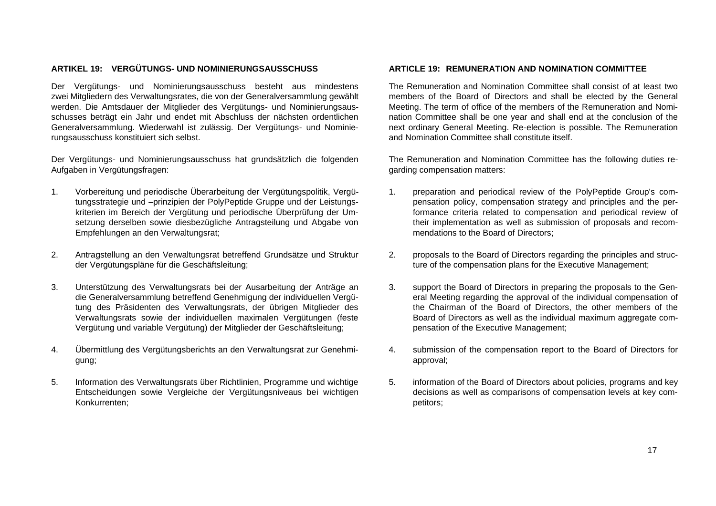# **ARTIKEL 19: VERGÜTUNGS- UND NOMINIERUNGSAUSSCHUSS**

Der Vergütungs- und Nominierungsausschuss besteht aus mindestens zwei Mitgliedern des Verwaltungsrates, die von der Generalversammlung gewählt werden. Die Amtsdauer der Mitglieder des Vergütungs- und Nominierungsausschusses beträgt ein Jahr und endet mit Abschluss der nächsten ordentlichen Generalversammlung. Wiederwahl ist zulässig. Der Vergütungs- und Nominierungsausschuss konstituiert sich selbst.

Der Vergütungs- und Nominierungsausschuss hat grundsätzlich die folgenden Aufgaben in Vergütungsfragen:

- 1. Vorbereitung und periodische Überarbeitung der Vergütungspolitik, Vergütungsstrategie und –prinzipien der PolyPeptide Gruppe und der Leistungskriterien im Bereich der Vergütung und periodische Überprüfung der Umsetzung derselben sowie diesbezügliche Antragsteilung und Abgabe von Empfehlungen an den Verwaltungsrat;
- 2. Antragstellung an den Verwaltungsrat betreffend Grundsätze und Struktur der Vergütungspläne für die Geschäftsleitung;
- 3. Unterstützung des Verwaltungsrats bei der Ausarbeitung der Anträge an die Generalversammlung betreffend Genehmigung der individuellen Vergütung des Präsidenten des Verwaltungsrats, der übrigen Mitglieder des Verwaltungsrats sowie der individuellen maximalen Vergütungen (feste Vergütung und variable Vergütung) der Mitglieder der Geschäftsleitung;
- 4. Übermittlung des Vergütungsberichts an den Verwaltungsrat zur Genehmigung;
- 5. Information des Verwaltungsrats über Richtlinien, Programme und wichtige Entscheidungen sowie Vergleiche der Vergütungsniveaus bei wichtigen Konkurrenten;

## **ARTICLE 19: REMUNERATION AND NOMINATION COMMITTEE**

The Remuneration and Nomination Committee shall consist of at least two members of the Board of Directors and shall be elected by the General Meeting. The term of office of the members of the Remuneration and Nomination Committee shall be one year and shall end at the conclusion of the next ordinary General Meeting. Re-election is possible. The Remuneration and Nomination Committee shall constitute itself.

The Remuneration and Nomination Committee has the following duties regarding compensation matters:

- 1. preparation and periodical review of the PolyPeptide Group's compensation policy, compensation strategy and principles and the performance criteria related to compensation and periodical review of their implementation as well as submission of proposals and recommendations to the Board of Directors;
- 2. proposals to the Board of Directors regarding the principles and structure of the compensation plans for the Executive Management;
- 3. support the Board of Directors in preparing the proposals to the General Meeting regarding the approval of the individual compensation of the Chairman of the Board of Directors, the other members of the Board of Directors as well as the individual maximum aggregate compensation of the Executive Management;
- 4. submission of the compensation report to the Board of Directors for approval;
- 5. information of the Board of Directors about policies, programs and key decisions as well as comparisons of compensation levels at key competitors;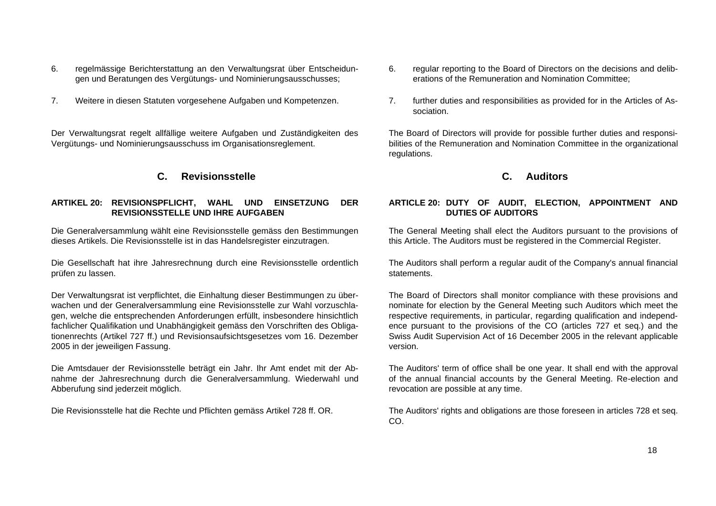- 6. regelmässige Berichterstattung an den Verwaltungsrat über Entscheidungen und Beratungen des Vergütungs- und Nominierungsausschusses;
- 7. Weitere in diesen Statuten vorgesehene Aufgaben und Kompetenzen.

Der Verwaltungsrat regelt allfällige weitere Aufgaben und Zuständigkeiten des Vergütungs- und Nominierungsausschuss im Organisationsreglement.

# **C. Revisionsstelle**

## **ARTIKEL 20: REVISIONSPFLICHT, WAHL UND EINSETZUNG DER REVISIONSSTELLE UND IHRE AUFGABEN**

Die Generalversammlung wählt eine Revisionsstelle gemäss den Bestimmungen dieses Artikels. Die Revisionsstelle ist in das Handelsregister einzutragen.

Die Gesellschaft hat ihre Jahresrechnung durch eine Revisionsstelle ordentlich prüfen zu lassen.

Der Verwaltungsrat ist verpflichtet, die Einhaltung dieser Bestimmungen zu überwachen und der Generalversammlung eine Revisionsstelle zur Wahl vorzuschlagen, welche die entsprechenden Anforderungen erfüllt, insbesondere hinsichtlich fachlicher Qualifikation und Unabhängigkeit gemäss den Vorschriften des Obligationenrechts (Artikel 727 ff.) und Revisionsaufsichtsgesetzes vom 16. Dezember 2005 in der jeweiligen Fassung.

Die Amtsdauer der Revisionsstelle beträgt ein Jahr. Ihr Amt endet mit der Abnahme der Jahresrechnung durch die Generalversammlung. Wiederwahl und Abberufung sind jederzeit möglich.

- 6. regular reporting to the Board of Directors on the decisions and deliberations of the Remuneration and Nomination Committee;
- 7. further duties and responsibilities as provided for in the Articles of Association.

The Board of Directors will provide for possible further duties and responsibilities of the Remuneration and Nomination Committee in the organizational regulations.

# **C. Auditors**

## **ARTICLE 20: DUTY OF AUDIT, ELECTION, APPOINTMENT AND DUTIES OF AUDITORS**

The General Meeting shall elect the Auditors pursuant to the provisions of this Article. The Auditors must be registered in the Commercial Register.

The Auditors shall perform a regular audit of the Company's annual financial statements.

The Board of Directors shall monitor compliance with these provisions and nominate for election by the General Meeting such Auditors which meet the respective requirements, in particular, regarding qualification and independence pursuant to the provisions of the CO (articles 727 et seq.) and the Swiss Audit Supervision Act of 16 December 2005 in the relevant applicable version.

The Auditors' term of office shall be one year. It shall end with the approval of the annual financial accounts by the General Meeting. Re-election and revocation are possible at any time.

Die Revisionsstelle hat die Rechte und Pflichten gemäss Artikel 728 ff. OR. The Auditors' rights and obligations are those foreseen in articles 728 et seq. CO.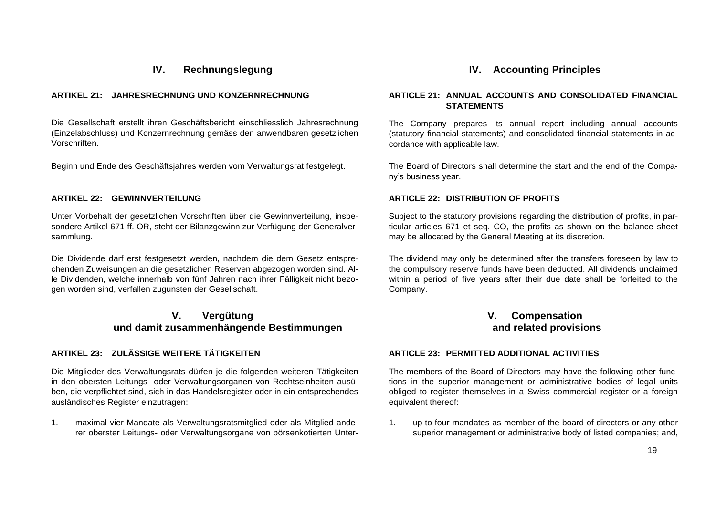# **IV. Rechnungslegung**

## **ARTIKEL 21: JAHRESRECHNUNG UND KONZERNRECHNUNG**

Die Gesellschaft erstellt ihren Geschäftsbericht einschliesslich Jahresrechnung (Einzelabschluss) und Konzernrechnung gemäss den anwendbaren gesetzlichen Vorschriften.

Beginn und Ende des Geschäftsjahres werden vom Verwaltungsrat festgelegt. The Board of Directors shall determine the start and the end of the Compa-

## **ARTIKEL 22: GEWINNVERTEILUNG**

Unter Vorbehalt der gesetzlichen Vorschriften über die Gewinnverteilung, insbesondere Artikel 671 ff. OR, steht der Bilanzgewinn zur Verfügung der Generalversammlung.

Die Dividende darf erst festgesetzt werden, nachdem die dem Gesetz entsprechenden Zuweisungen an die gesetzlichen Reserven abgezogen worden sind. Alle Dividenden, welche innerhalb von fünf Jahren nach ihrer Fälligkeit nicht bezogen worden sind, verfallen zugunsten der Gesellschaft.

# **V. Vergütung und damit zusammenhängende Bestimmungen**

## **ARTIKEL 23: ZULÄSSIGE WEITERE TÄTIGKEITEN**

Die Mitglieder des Verwaltungsrats dürfen je die folgenden weiteren Tätigkeiten in den obersten Leitungs- oder Verwaltungsorganen von Rechtseinheiten ausüben, die verpflichtet sind, sich in das Handelsregister oder in ein entsprechendes ausländisches Register einzutragen:

1. maximal vier Mandate als Verwaltungsratsmitglied oder als Mitglied anderer oberster Leitungs- oder Verwaltungsorgane von börsenkotierten Unter-

# **IV. Accounting Principles**

## **ARTICLE 21: ANNUAL ACCOUNTS AND CONSOLIDATED FINANCIAL STATEMENTS**

The Company prepares its annual report including annual accounts (statutory financial statements) and consolidated financial statements in accordance with applicable law.

ny's business year.

## **ARTICLE 22: DISTRIBUTION OF PROFITS**

Subject to the statutory provisions regarding the distribution of profits, in particular articles 671 et seq. CO, the profits as shown on the balance sheet may be allocated by the General Meeting at its discretion.

The dividend may only be determined after the transfers foreseen by law to the compulsory reserve funds have been deducted. All dividends unclaimed within a period of five years after their due date shall be forfeited to the Company.

# **V. Compensation and related provisions**

## **ARTICLE 23: PERMITTED ADDITIONAL ACTIVITIES**

The members of the Board of Directors may have the following other functions in the superior management or administrative bodies of legal units obliged to register themselves in a Swiss commercial register or a foreign equivalent thereof:

1. up to four mandates as member of the board of directors or any other superior management or administrative body of listed companies; and,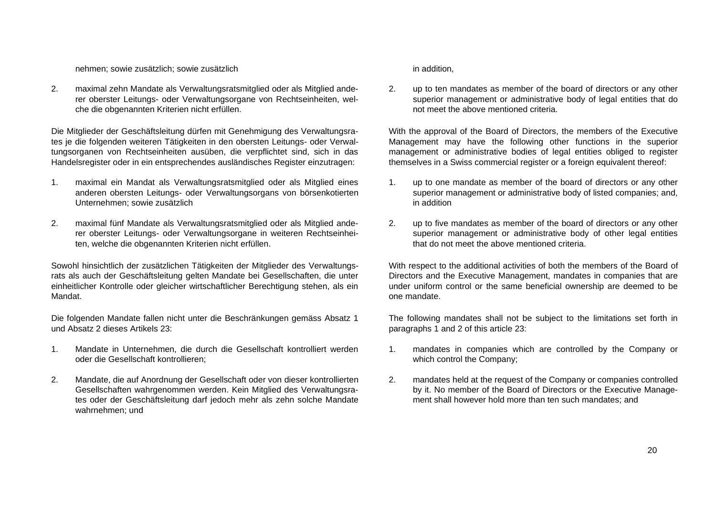nehmen; sowie zusätzlich; sowie zusätzlich in addition,

2. maximal zehn Mandate als Verwaltungsratsmitglied oder als Mitglied anderer oberster Leitungs- oder Verwaltungsorgane von Rechtseinheiten, welche die obgenannten Kriterien nicht erfüllen.

Die Mitglieder der Geschäftsleitung dürfen mit Genehmigung des Verwaltungsrates je die folgenden weiteren Tätigkeiten in den obersten Leitungs- oder Verwaltungsorganen von Rechtseinheiten ausüben, die verpflichtet sind, sich in das Handelsregister oder in ein entsprechendes ausländisches Register einzutragen:

- 1. maximal ein Mandat als Verwaltungsratsmitglied oder als Mitglied eines anderen obersten Leitungs- oder Verwaltungsorgans von börsenkotierten Unternehmen; sowie zusätzlich
- 2. maximal fünf Mandate als Verwaltungsratsmitglied oder als Mitglied anderer oberster Leitungs- oder Verwaltungsorgane in weiteren Rechtseinheiten, welche die obgenannten Kriterien nicht erfüllen.

Sowohl hinsichtlich der zusätzlichen Tätigkeiten der Mitglieder des Verwaltungsrats als auch der Geschäftsleitung gelten Mandate bei Gesellschaften, die unter einheitlicher Kontrolle oder gleicher wirtschaftlicher Berechtigung stehen, als ein Mandat.

Die folgenden Mandate fallen nicht unter die Beschränkungen gemäss Absatz 1 und Absatz 2 dieses Artikels 23:

- 1. Mandate in Unternehmen, die durch die Gesellschaft kontrolliert werden oder die Gesellschaft kontrollieren;
- 2. Mandate, die auf Anordnung der Gesellschaft oder von dieser kontrollierten Gesellschaften wahrgenommen werden. Kein Mitglied des Verwaltungsrates oder der Geschäftsleitung darf jedoch mehr als zehn solche Mandate wahrnehmen; und

2. up to ten mandates as member of the board of directors or any other superior management or administrative body of legal entities that do not meet the above mentioned criteria.

With the approval of the Board of Directors, the members of the Executive Management may have the following other functions in the superior management or administrative bodies of legal entities obliged to register themselves in a Swiss commercial register or a foreign equivalent thereof:

- 1. up to one mandate as member of the board of directors or any other superior management or administrative body of listed companies; and, in addition
- 2. up to five mandates as member of the board of directors or any other superior management or administrative body of other legal entities that do not meet the above mentioned criteria.

With respect to the additional activities of both the members of the Board of Directors and the Executive Management, mandates in companies that are under uniform control or the same beneficial ownership are deemed to be one mandate.

The following mandates shall not be subject to the limitations set forth in paragraphs 1 and 2 of this article 23:

- 1. mandates in companies which are controlled by the Company or which control the Company;
- 2. mandates held at the request of the Company or companies controlled by it. No member of the Board of Directors or the Executive Management shall however hold more than ten such mandates; and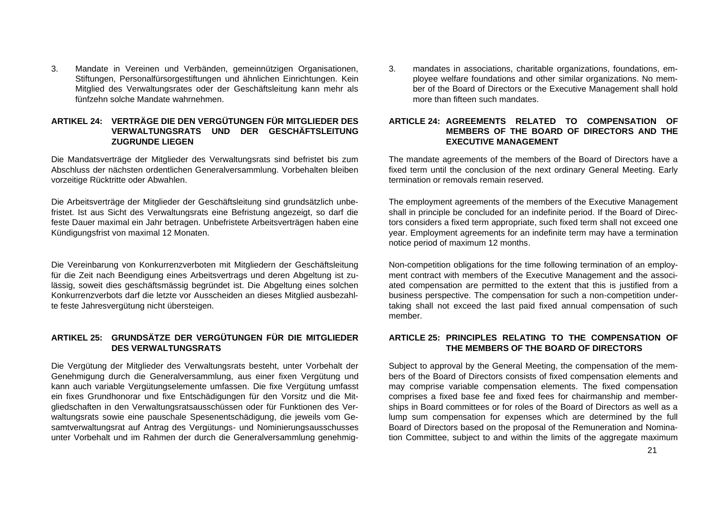3. Mandate in Vereinen und Verbänden, gemeinnützigen Organisationen, Stiftungen, Personalfürsorgestiftungen und ähnlichen Einrichtungen. Kein Mitglied des Verwaltungsrates oder der Geschäftsleitung kann mehr als fünfzehn solche Mandate wahrnehmen.

## **ARTIKEL 24: VERTRÄGE DIE DEN VERGÜTUNGEN FÜR MITGLIEDER DES VERWALTUNGSRATS UND DER GESCHÄFTSLEITUNG ZUGRUNDE LIEGEN**

Die Mandatsverträge der Mitglieder des Verwaltungsrats sind befristet bis zum Abschluss der nächsten ordentlichen Generalversammlung. Vorbehalten bleiben vorzeitige Rücktritte oder Abwahlen.

Die Arbeitsverträge der Mitglieder der Geschäftsleitung sind grundsätzlich unbefristet. Ist aus Sicht des Verwaltungsrats eine Befristung angezeigt, so darf die feste Dauer maximal ein Jahr betragen. Unbefristete Arbeitsverträgen haben eine Kündigungsfrist von maximal 12 Monaten.

Die Vereinbarung von Konkurrenzverboten mit Mitgliedern der Geschäftsleitung für die Zeit nach Beendigung eines Arbeitsvertrags und deren Abgeltung ist zulässig, soweit dies geschäftsmässig begründet ist. Die Abgeltung eines solchen Konkurrenzverbots darf die letzte vor Ausscheiden an dieses Mitglied ausbezahlte feste Jahresvergütung nicht übersteigen.

# **ARTIKEL 25: GRUNDSÄTZE DER VERGÜTUNGEN FÜR DIE MITGLIEDER DES VERWALTUNGSRATS**

Die Vergütung der Mitglieder des Verwaltungsrats besteht, unter Vorbehalt der Genehmigung durch die Generalversammlung, aus einer fixen Vergütung und kann auch variable Vergütungselemente umfassen. Die fixe Vergütung umfasst ein fixes Grundhonorar und fixe Entschädigungen für den Vorsitz und die Mitgliedschaften in den Verwaltungsratsausschüssen oder für Funktionen des Verwaltungsrats sowie eine pauschale Spesenentschädigung, die jeweils vom Gesamtverwaltungsrat auf Antrag des Vergütungs- und Nominierungsausschusses unter Vorbehalt und im Rahmen der durch die Generalversammlung genehmig3. mandates in associations, charitable organizations, foundations, employee welfare foundations and other similar organizations. No member of the Board of Directors or the Executive Management shall hold more than fifteen such mandates.

## **ARTICLE 24: AGREEMENTS RELATED TO COMPENSATION OF MEMBERS OF THE BOARD OF DIRECTORS AND THE EXECUTIVE MANAGEMENT**

The mandate agreements of the members of the Board of Directors have a fixed term until the conclusion of the next ordinary General Meeting. Early termination or removals remain reserved.

The employment agreements of the members of the Executive Management shall in principle be concluded for an indefinite period. If the Board of Directors considers a fixed term appropriate, such fixed term shall not exceed one year. Employment agreements for an indefinite term may have a termination notice period of maximum 12 months.

Non-competition obligations for the time following termination of an employment contract with members of the Executive Management and the associated compensation are permitted to the extent that this is justified from a business perspective. The compensation for such a non-competition undertaking shall not exceed the last paid fixed annual compensation of such member.

## **ARTICLE 25: PRINCIPLES RELATING TO THE COMPENSATION OF THE MEMBERS OF THE BOARD OF DIRECTORS**

Subject to approval by the General Meeting, the compensation of the members of the Board of Directors consists of fixed compensation elements and may comprise variable compensation elements. The fixed compensation comprises a fixed base fee and fixed fees for chairmanship and memberships in Board committees or for roles of the Board of Directors as well as a lump sum compensation for expenses which are determined by the full Board of Directors based on the proposal of the Remuneration and Nomination Committee, subject to and within the limits of the aggregate maximum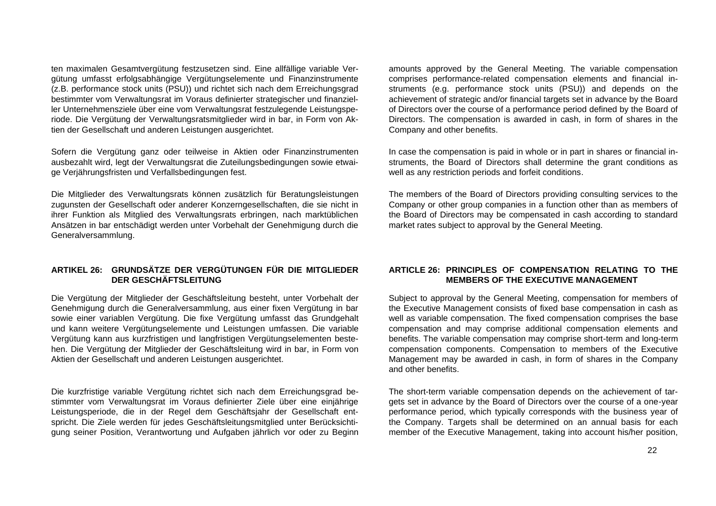ten maximalen Gesamtvergütung festzusetzen sind. Eine allfällige variable Vergütung umfasst erfolgsabhängige Vergütungselemente und Finanzinstrumente (z.B. performance stock units (PSU)) und richtet sich nach dem Erreichungsgrad bestimmter vom Verwaltungsrat im Voraus definierter strategischer und finanzieller Unternehmensziele über eine vom Verwaltungsrat festzulegende Leistungsperiode. Die Vergütung der Verwaltungsratsmitglieder wird in bar, in Form von Aktien der Gesellschaft und anderen Leistungen ausgerichtet.

Sofern die Vergütung ganz oder teilweise in Aktien oder Finanzinstrumenten ausbezahlt wird, legt der Verwaltungsrat die Zuteilungsbedingungen sowie etwaige Verjährungsfristen und Verfallsbedingungen fest.

Die Mitglieder des Verwaltungsrats können zusätzlich für Beratungsleistungen zugunsten der Gesellschaft oder anderer Konzerngesellschaften, die sie nicht in ihrer Funktion als Mitglied des Verwaltungsrats erbringen, nach marktüblichen Ansätzen in bar entschädigt werden unter Vorbehalt der Genehmigung durch die Generalversammlung.

# **ARTIKEL 26: GRUNDSÄTZE DER VERGÜTUNGEN FÜR DIE MITGLIEDER DER GESCHÄFTSLEITUNG**

Die Vergütung der Mitglieder der Geschäftsleitung besteht, unter Vorbehalt der Genehmigung durch die Generalversammlung, aus einer fixen Vergütung in bar sowie einer variablen Vergütung. Die fixe Vergütung umfasst das Grundgehalt und kann weitere Vergütungselemente und Leistungen umfassen. Die variable Vergütung kann aus kurzfristigen und langfristigen Vergütungselementen bestehen. Die Vergütung der Mitglieder der Geschäftsleitung wird in bar, in Form von Aktien der Gesellschaft und anderen Leistungen ausgerichtet.

Die kurzfristige variable Vergütung richtet sich nach dem Erreichungsgrad bestimmter vom Verwaltungsrat im Voraus definierter Ziele über eine einjährige Leistungsperiode, die in der Regel dem Geschäftsjahr der Gesellschaft entspricht. Die Ziele werden für jedes Geschäftsleitungsmitglied unter Berücksichtigung seiner Position, Verantwortung und Aufgaben jährlich vor oder zu Beginn

amounts approved by the General Meeting. The variable compensation comprises performance-related compensation elements and financial instruments (e.g. performance stock units (PSU)) and depends on the achievement of strategic and/or financial targets set in advance by the Board of Directors over the course of a performance period defined by the Board of Directors. The compensation is awarded in cash, in form of shares in the Company and other benefits.

In case the compensation is paid in whole or in part in shares or financial instruments, the Board of Directors shall determine the grant conditions as well as any restriction periods and forfeit conditions.

The members of the Board of Directors providing consulting services to the Company or other group companies in a function other than as members of the Board of Directors may be compensated in cash according to standard market rates subject to approval by the General Meeting.

## **ARTICLE 26: PRINCIPLES OF COMPENSATION RELATING TO THE MEMBERS OF THE EXECUTIVE MANAGEMENT**

Subject to approval by the General Meeting, compensation for members of the Executive Management consists of fixed base compensation in cash as well as variable compensation. The fixed compensation comprises the base compensation and may comprise additional compensation elements and benefits. The variable compensation may comprise short-term and long-term compensation components. Compensation to members of the Executive Management may be awarded in cash, in form of shares in the Company and other benefits.

The short-term variable compensation depends on the achievement of targets set in advance by the Board of Directors over the course of a one-year performance period, which typically corresponds with the business year of the Company. Targets shall be determined on an annual basis for each member of the Executive Management, taking into account his/her position,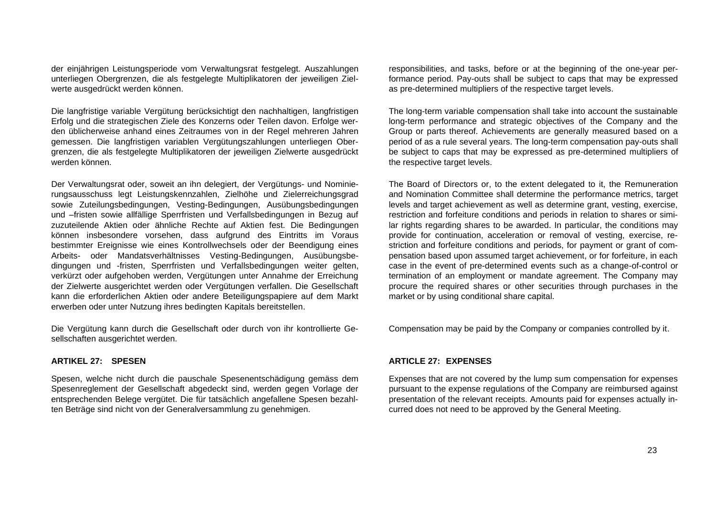der einjährigen Leistungsperiode vom Verwaltungsrat festgelegt. Auszahlungen unterliegen Obergrenzen, die als festgelegte Multiplikatoren der jeweiligen Zielwerte ausgedrückt werden können.

Die langfristige variable Vergütung berücksichtigt den nachhaltigen, langfristigen Erfolg und die strategischen Ziele des Konzerns oder Teilen davon. Erfolge werden üblicherweise anhand eines Zeitraumes von in der Regel mehreren Jahren gemessen. Die langfristigen variablen Vergütungszahlungen unterliegen Obergrenzen, die als festgelegte Multiplikatoren der jeweiligen Zielwerte ausgedrückt werden können.

Der Verwaltungsrat oder, soweit an ihn delegiert, der Vergütungs- und Nominierungsausschuss legt Leistungskennzahlen, Zielhöhe und Zielerreichungsgrad sowie Zuteilungsbedingungen, Vesting-Bedingungen, Ausübungsbedingungen und –fristen sowie allfällige Sperrfristen und Verfallsbedingungen in Bezug auf zuzuteilende Aktien oder ähnliche Rechte auf Aktien fest. Die Bedingungen können insbesondere vorsehen, dass aufgrund des Eintritts im Voraus bestimmter Ereignisse wie eines Kontrollwechsels oder der Beendigung eines Arbeits- oder Mandatsverhältnisses Vesting-Bedingungen, Ausübungsbedingungen und -fristen, Sperrfristen und Verfallsbedingungen weiter gelten, verkürzt oder aufgehoben werden, Vergütungen unter Annahme der Erreichung der Zielwerte ausgerichtet werden oder Vergütungen verfallen. Die Gesellschaft kann die erforderlichen Aktien oder andere Beteiligungspapiere auf dem Markt erwerben oder unter Nutzung ihres bedingten Kapitals bereitstellen.

Die Vergütung kann durch die Gesellschaft oder durch von ihr kontrollierte Gesellschaften ausgerichtet werden.

#### **ARTIKEL 27: SPESEN**

Spesen, welche nicht durch die pauschale Spesenentschädigung gemäss dem Spesenreglement der Gesellschaft abgedeckt sind, werden gegen Vorlage der entsprechenden Belege vergütet. Die für tatsächlich angefallene Spesen bezahlten Beträge sind nicht von der Generalversammlung zu genehmigen.

responsibilities, and tasks, before or at the beginning of the one-year performance period. Pay-outs shall be subject to caps that may be expressed as pre-determined multipliers of the respective target levels.

The long-term variable compensation shall take into account the sustainable long-term performance and strategic objectives of the Company and the Group or parts thereof. Achievements are generally measured based on a period of as a rule several years. The long-term compensation pay-outs shall be subject to caps that may be expressed as pre-determined multipliers of the respective target levels.

The Board of Directors or, to the extent delegated to it, the Remuneration and Nomination Committee shall determine the performance metrics, target levels and target achievement as well as determine grant, vesting, exercise, restriction and forfeiture conditions and periods in relation to shares or similar rights regarding shares to be awarded. In particular, the conditions may provide for continuation, acceleration or removal of vesting, exercise, restriction and forfeiture conditions and periods, for payment or grant of compensation based upon assumed target achievement, or for forfeiture, in each case in the event of pre-determined events such as a change-of-control or termination of an employment or mandate agreement. The Company may procure the required shares or other securities through purchases in the market or by using conditional share capital.

Compensation may be paid by the Company or companies controlled by it.

## **ARTICLE 27: EXPENSES**

Expenses that are not covered by the lump sum compensation for expenses pursuant to the expense regulations of the Company are reimbursed against presentation of the relevant receipts. Amounts paid for expenses actually incurred does not need to be approved by the General Meeting.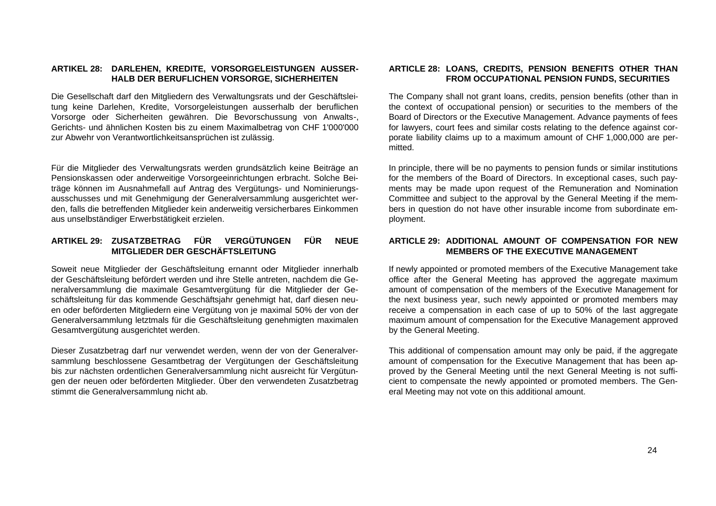## **ARTIKEL 28: DARLEHEN, KREDITE, VORSORGELEISTUNGEN AUSSER-HALB DER BERUFLICHEN VORSORGE, SICHERHEITEN**

Die Gesellschaft darf den Mitgliedern des Verwaltungsrats und der Geschäftsleitung keine Darlehen, Kredite, Vorsorgeleistungen ausserhalb der beruflichen Vorsorge oder Sicherheiten gewähren. Die Bevorschussung von Anwalts-, Gerichts- und ähnlichen Kosten bis zu einem Maximalbetrag von CHF 1'000'000 zur Abwehr von Verantwortlichkeitsansprüchen ist zulässig.

Für die Mitglieder des Verwaltungsrats werden grundsätzlich keine Beiträge an Pensionskassen oder anderweitige Vorsorgeeinrichtungen erbracht. Solche Beiträge können im Ausnahmefall auf Antrag des Vergütungs- und Nominierungsausschusses und mit Genehmigung der Generalversammlung ausgerichtet werden, falls die betreffenden Mitglieder kein anderweitig versicherbares Einkommen aus unselbständiger Erwerbstätigkeit erzielen.

## **ARTIKEL 29: ZUSATZBETRAG FÜR VERGÜTUNGEN FÜR NEUE MITGLIEDER DER GESCHÄFTSLEITUNG**

Soweit neue Mitglieder der Geschäftsleitung ernannt oder Mitglieder innerhalb der Geschäftsleitung befördert werden und ihre Stelle antreten, nachdem die Generalversammlung die maximale Gesamtvergütung für die Mitglieder der Geschäftsleitung für das kommende Geschäftsjahr genehmigt hat, darf diesen neuen oder beförderten Mitgliedern eine Vergütung von je maximal 50% der von der Generalversammlung letztmals für die Geschäftsleitung genehmigten maximalen Gesamtvergütung ausgerichtet werden.

Dieser Zusatzbetrag darf nur verwendet werden, wenn der von der Generalversammlung beschlossene Gesamtbetrag der Vergütungen der Geschäftsleitung bis zur nächsten ordentlichen Generalversammlung nicht ausreicht für Vergütungen der neuen oder beförderten Mitglieder. Über den verwendeten Zusatzbetrag stimmt die Generalversammlung nicht ab.

## **ARTICLE 28: LOANS, CREDITS, PENSION BENEFITS OTHER THAN FROM OCCUPATIONAL PENSION FUNDS, SECURITIES**

The Company shall not grant loans, credits, pension benefits (other than in the context of occupational pension) or securities to the members of the Board of Directors or the Executive Management. Advance payments of fees for lawyers, court fees and similar costs relating to the defence against corporate liability claims up to a maximum amount of CHF 1,000,000 are permitted.

In principle, there will be no payments to pension funds or similar institutions for the members of the Board of Directors. In exceptional cases, such payments may be made upon request of the Remuneration and Nomination Committee and subject to the approval by the General Meeting if the members in question do not have other insurable income from subordinate employment.

## **ARTICLE 29: ADDITIONAL AMOUNT OF COMPENSATION FOR NEW MEMBERS OF THE EXECUTIVE MANAGEMENT**

If newly appointed or promoted members of the Executive Management take office after the General Meeting has approved the aggregate maximum amount of compensation of the members of the Executive Management for the next business year, such newly appointed or promoted members may receive a compensation in each case of up to 50% of the last aggregate maximum amount of compensation for the Executive Management approved by the General Meeting.

This additional of compensation amount may only be paid, if the aggregate amount of compensation for the Executive Management that has been approved by the General Meeting until the next General Meeting is not sufficient to compensate the newly appointed or promoted members. The General Meeting may not vote on this additional amount.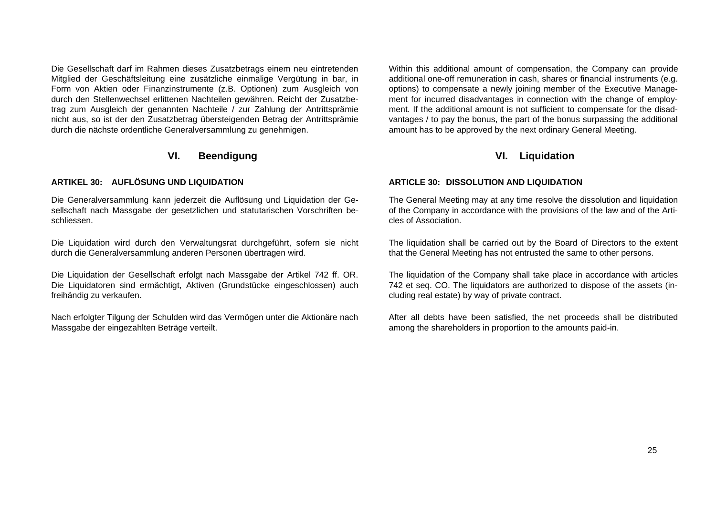Die Gesellschaft darf im Rahmen dieses Zusatzbetrags einem neu eintretenden Mitglied der Geschäftsleitung eine zusätzliche einmalige Vergütung in bar, in Form von Aktien oder Finanzinstrumente (z.B. Optionen) zum Ausgleich von durch den Stellenwechsel erlittenen Nachteilen gewähren. Reicht der Zusatzbetrag zum Ausgleich der genannten Nachteile / zur Zahlung der Antrittsprämie nicht aus, so ist der den Zusatzbetrag übersteigenden Betrag der Antrittsprämie durch die nächste ordentliche Generalversammlung zu genehmigen.

# **VI. Beendigung**

## **ARTIKEL 30: AUFLÖSUNG UND LIQUIDATION**

Die Generalversammlung kann jederzeit die Auflösung und Liquidation der Gesellschaft nach Massgabe der gesetzlichen und statutarischen Vorschriften beschliessen.

Die Liquidation wird durch den Verwaltungsrat durchgeführt, sofern sie nicht durch die Generalversammlung anderen Personen übertragen wird.

Die Liquidation der Gesellschaft erfolgt nach Massgabe der Artikel 742 ff. OR. Die Liquidatoren sind ermächtigt, Aktiven (Grundstücke eingeschlossen) auch freihändig zu verkaufen.

Nach erfolgter Tilgung der Schulden wird das Vermögen unter die Aktionäre nach Massgabe der eingezahlten Beträge verteilt.

Within this additional amount of compensation, the Company can provide additional one-off remuneration in cash, shares or financial instruments (e.g. options) to compensate a newly joining member of the Executive Management for incurred disadvantages in connection with the change of employment. If the additional amount is not sufficient to compensate for the disadvantages / to pay the bonus, the part of the bonus surpassing the additional amount has to be approved by the next ordinary General Meeting.

# **VI. Liquidation**

## **ARTICLE 30: DISSOLUTION AND LIQUIDATION**

The General Meeting may at any time resolve the dissolution and liquidation of the Company in accordance with the provisions of the law and of the Articles of Association.

The liquidation shall be carried out by the Board of Directors to the extent that the General Meeting has not entrusted the same to other persons.

The liquidation of the Company shall take place in accordance with articles 742 et seq. CO. The liquidators are authorized to dispose of the assets (including real estate) by way of private contract.

After all debts have been satisfied, the net proceeds shall be distributed among the shareholders in proportion to the amounts paid-in.